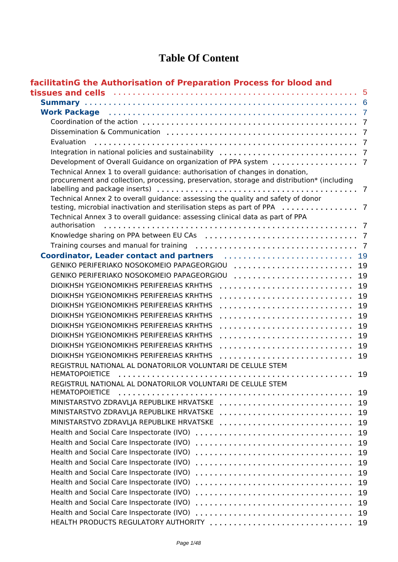### **Table Of Content**

| facilitatinG the Authorisation of Preparation Process for blood and                                                                                                             |  |
|---------------------------------------------------------------------------------------------------------------------------------------------------------------------------------|--|
| tissues and cells with the control of the control of the state of the state of the state of the state of the s                                                                  |  |
|                                                                                                                                                                                 |  |
| Work Package (and the contract of the contract of the contract of the contract of the contract of the contract o                                                                |  |
|                                                                                                                                                                                 |  |
|                                                                                                                                                                                 |  |
| Evaluation                                                                                                                                                                      |  |
|                                                                                                                                                                                 |  |
|                                                                                                                                                                                 |  |
| Technical Annex 1 to overall guidance: authorisation of changes in donation,<br>procurement and collection, processing, preservation, storage and distribution* (including<br>7 |  |
| Technical Annex 2 to overall guidance: assessing the quality and safety of donor<br>testing, microbial inactivation and sterilisation steps as part of PPA<br>7                 |  |
| Technical Annex 3 to overall guidance: assessing clinical data as part of PPA<br>authorisation                                                                                  |  |
|                                                                                                                                                                                 |  |
|                                                                                                                                                                                 |  |
| Coordinator, Leader contact and partners entitled contains an extendinator.<br>19                                                                                               |  |
| GENIKO PERIFERIAKO NOSOKOMEIO PAPAGEORGIOU<br>19                                                                                                                                |  |
| GENIKO PERIFERIAKO NOSOKOMEIO PAPAGEORGIOU<br>19                                                                                                                                |  |
| DIOIKHSH YGEIONOMIKHS PERIFEREIAS KRHTHS<br>19                                                                                                                                  |  |
| DIOIKHSH YGEIONOMIKHS PERIFEREIAS KRHTHS<br>19                                                                                                                                  |  |
| DIOIKHSH YGEIONOMIKHS PERIFEREIAS KRHTHS<br>19                                                                                                                                  |  |
| DIOIKHSH YGEIONOMIKHS PERIFEREIAS KRHTHS<br>19                                                                                                                                  |  |
| DIOIKHSH YGEIONOMIKHS PERIFEREIAS KRHTHS<br>19                                                                                                                                  |  |
| DIOIKHSH YGEIONOMIKHS PERIFEREIAS KRHTHS<br>19                                                                                                                                  |  |
| DIOIKHSH YGEIONOMIKHS PERIFEREIAS KRHTHS<br>19                                                                                                                                  |  |
| DIOIKHSH YGEIONOMIKHS PERIFEREIAS KRHTHS<br>19                                                                                                                                  |  |
| REGISTRUL NATIONAL AL DONATORILOR VOLUNTARI DE CELULE STEM<br><b>HEMATOPOIETICE</b><br>19                                                                                       |  |
| REGISTRUL NATIONAL AL DONATORILOR VOLUNTARI DE CELULE STEM<br><b>HEMATOPOIETICE</b><br>19                                                                                       |  |
| MINISTARSTVO ZDRAVLJA REPUBLIKE HRVATSKE<br>19                                                                                                                                  |  |
| MINISTARSTVO ZDRAVLJA REPUBLIKE HRVATSKE<br>19                                                                                                                                  |  |
| MINISTARSTVO ZDRAVLJA REPUBLIKE HRVATSKE<br>19                                                                                                                                  |  |
| Health and Social Care Inspectorate (IVO)<br>19                                                                                                                                 |  |
| Health and Social Care Inspectorate (IVO)<br>19                                                                                                                                 |  |
| Health and Social Care Inspectorate (IVO)<br>19                                                                                                                                 |  |
| Health and Social Care Inspectorate (IVO)<br>19                                                                                                                                 |  |
| Health and Social Care Inspectorate (IVO)<br>19                                                                                                                                 |  |
| Health and Social Care Inspectorate (IVO)<br>19                                                                                                                                 |  |
| Health and Social Care Inspectorate (IVO)<br>19                                                                                                                                 |  |
| Health and Social Care Inspectorate (IVO)<br>19                                                                                                                                 |  |
| Health and Social Care Inspectorate (IVO)<br>19                                                                                                                                 |  |
| HEALTH PRODUCTS REGULATORY AUTHORITY<br>19                                                                                                                                      |  |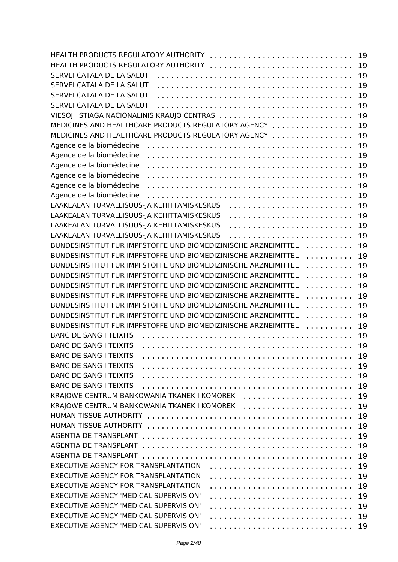| HEALTH PRODUCTS REGULATORY AUTHORITY                                | 19 |
|---------------------------------------------------------------------|----|
| HEALTH PRODUCTS REGULATORY AUTHORITY                                | 19 |
| SERVEI CATALA DE LA SALUT                                           | 19 |
| SERVEI CATALA DE LA SALUT                                           | 19 |
| SERVEI CATALA DE LA SALUT                                           | 19 |
| SERVEI CATALA DE LA SALUT                                           | 19 |
| VIESOJI ISTIAGA NACIONALINIS KRAUJO CENTRAS                         | 19 |
| MEDICINES AND HEALTHCARE PRODUCTS REGULATORY AGENCY                 | 19 |
| MEDICINES AND HEALTHCARE PRODUCTS REGULATORY AGENCY                 | 19 |
| Agence de la biomédecine                                            | 19 |
| Agence de la biomédecine                                            | 19 |
| Agence de la biomédecine                                            | 19 |
| Agence de la biomédecine                                            | 19 |
| Agence de la biomédecine                                            | 19 |
| Agence de la biomédecine                                            |    |
|                                                                     | 19 |
| LAAKEALAN TURVALLISUUS-JA KEHITTAMISKESKUS                          | 19 |
| LAAKEALAN TURVALLISUUS-JA KEHITTAMISKESKUS                          | 19 |
| LAAKEALAN TURVALLISUUS-JA KEHITTAMISKESKUS                          | 19 |
| LAAKEALAN TURVALLISUUS-JA KEHITTAMISKESKUS                          | 19 |
| BUNDESINSTITUT FUR IMPFSTOFFE UND BIOMEDIZINISCHE ARZNEIMITTEL<br>. | 19 |
| BUNDESINSTITUT FUR IMPFSTOFFE UND BIOMEDIZINISCHE ARZNEIMITTEL<br>. | 19 |
| BUNDESINSTITUT FUR IMPFSTOFFE UND BIOMEDIZINISCHE ARZNEIMITTEL<br>. | 19 |
| BUNDESINSTITUT FUR IMPFSTOFFE UND BIOMEDIZINISCHE ARZNEIMITTEL<br>. | 19 |
| BUNDESINSTITUT FUR IMPFSTOFFE UND BIOMEDIZINISCHE ARZNEIMITTEL<br>. | 19 |
| BUNDESINSTITUT FUR IMPFSTOFFE UND BIOMEDIZINISCHE ARZNEIMITTEL<br>. | 19 |
| BUNDESINSTITUT FUR IMPFSTOFFE UND BIOMEDIZINISCHE ARZNEIMITTEL<br>. | 19 |
| BUNDESINSTITUT FUR IMPFSTOFFE UND BIOMEDIZINISCHE ARZNEIMITTEL<br>. | 19 |
| BUNDESINSTITUT FUR IMPFSTOFFE UND BIOMEDIZINISCHE ARZNEIMITTEL<br>. | 19 |
| <b>BANC DE SANG I TEIXITS</b>                                       | 19 |
| <b>BANC DE SANG I TEIXITS</b>                                       | 19 |
| <b>BANC DE SANG I TEIXITS</b>                                       | 19 |
| <b>BANC DE SANG I TEIXITS</b>                                       | 19 |
| <b>BANC DE SANG I TEIXITS</b>                                       | 19 |
| <b>BANC DE SANG I TEIXITS</b>                                       | 19 |
| KRAJOWE CENTRUM BANKOWANIA TKANEK I KOMOREK                         | 19 |
| KRAJOWE CENTRUM BANKOWANIA TKANEK I KOMOREK                         |    |
|                                                                     | 19 |
|                                                                     | 19 |
|                                                                     | 19 |
|                                                                     | 19 |
|                                                                     | 19 |
|                                                                     | 19 |
| EXECUTIVE AGENCY FOR TRANSPLANTATION                                | 19 |
| EXECUTIVE AGENCY FOR TRANSPLANTATION                                | 19 |
| EXECUTIVE AGENCY FOR TRANSPLANTATION                                | 19 |
| EXECUTIVE AGENCY 'MEDICAL SUPERVISION'                              | 19 |
| EXECUTIVE AGENCY 'MEDICAL SUPERVISION'                              | 19 |
| EXECUTIVE AGENCY 'MEDICAL SUPERVISION'                              | 19 |
| EXECUTIVE AGENCY 'MEDICAL SUPERVISION'                              |    |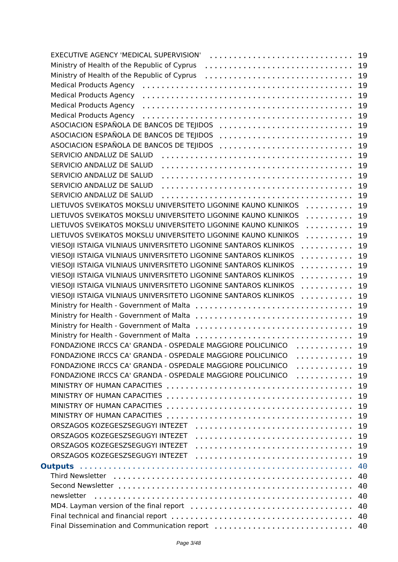| EXECUTIVE AGENCY 'MEDICAL SUPERVISION'                                    | 19 |
|---------------------------------------------------------------------------|----|
| Ministry of Health of the Republic of Cyprus                              | 19 |
| Ministry of Health of the Republic of Cyprus                              | 19 |
| <b>Medical Products Agency</b>                                            | 19 |
| <b>Medical Products Agency</b>                                            | 19 |
| <b>Medical Products Agency</b>                                            | 19 |
| <b>Medical Products Agency</b>                                            | 19 |
| ASOCIACION ESPAÑOLA DE BANCOS DE TEJIDOS                                  | 19 |
| ASOCIACION ESPAÑOLA DE BANCOS DE TEJIDOS                                  | 19 |
| ASOCIACION ESPAÑOLA DE BANCOS DE TEJIDOS                                  | 19 |
|                                                                           |    |
| SERVICIO ANDALUZ DE SALUD                                                 | 19 |
| SERVICIO ANDALUZ DE SALUD                                                 | 19 |
| SERVICIO ANDALUZ DE SALUD                                                 | 19 |
| SERVICIO ANDALUZ DE SALUD                                                 | 19 |
| SERVICIO ANDALUZ DE SALUD                                                 | 19 |
| LIETUVOS SVEIKATOS MOKSLU UNIVERSITETO LIGONINE KAUNO KLINIKOS            | 19 |
| LIETUVOS SVEIKATOS MOKSLU UNIVERSITETO LIGONINE KAUNO KLINIKOS<br>.       | 19 |
| LIETUVOS SVEIKATOS MOKSLU UNIVERSITETO LIGONINE KAUNO KLINIKOS<br>.       | 19 |
| LIETUVOS SVEIKATOS MOKSLU UNIVERSITETO LIGONINE KAUNO KLINIKOS<br>.       | 19 |
| VIESOJI ISTAIGA VILNIAUS UNIVERSITETO LIGONINE SANTAROS KLINIKOS<br>.     | 19 |
| VIESOJI ISTAIGA VILNIAUS UNIVERSITETO LIGONINE SANTAROS KLINIKOS<br>.     | 19 |
| VIESOJI ISTAIGA VILNIAUS UNIVERSITETO LIGONINE SANTAROS KLINIKOS<br>.     | 19 |
| VIESOJI ISTAIGA VILNIAUS UNIVERSITETO LIGONINE SANTAROS KLINIKOS<br>.     | 19 |
| VIESOJI ISTAIGA VILNIAUS UNIVERSITETO LIGONINE SANTAROS KLINIKOS<br>.     | 19 |
| VIESOJI ISTAIGA VILNIAUS UNIVERSITETO LIGONINE SANTAROS KLINIKOS<br>.     | 19 |
|                                                                           | 19 |
|                                                                           | 19 |
|                                                                           | 19 |
| Ministry for Health - Government of Malta                                 | 19 |
| FONDAZIONE IRCCS CA' GRANDA - OSPEDALE MAGGIORE POLICLINICO               | 19 |
| . <b>.</b><br>FONDAZIONE IRCCS CA' GRANDA - OSPEDALE MAGGIORE POLICLINICO |    |
| .<br>FONDAZIONE IRCCS CA' GRANDA - OSPEDALE MAGGIORE POLICLINICO          | 19 |
| .<br>FONDAZIONE IRCCS CA' GRANDA - OSPEDALE MAGGIORE POLICLINICO          | 19 |
| .                                                                         | 19 |
|                                                                           | 19 |
|                                                                           | 19 |
| MINISTRY OF HUMAN CAPACITIES                                              | 19 |
|                                                                           | 19 |
|                                                                           | 19 |
| ORSZAGOS KOZEGESZSEGUGYI INTEZET                                          | 19 |
| ORSZAGOS KOZEGESZSEGUGYI INTEZET                                          | 19 |
| ORSZAGOS KOZEGESZSEGUGYI INTEZET                                          | 19 |
|                                                                           | 40 |
|                                                                           | 40 |
|                                                                           | 40 |
| newsletter                                                                | 40 |
|                                                                           | 40 |
|                                                                           | 40 |
| Final Dissemination and Communication report  40                          |    |
|                                                                           |    |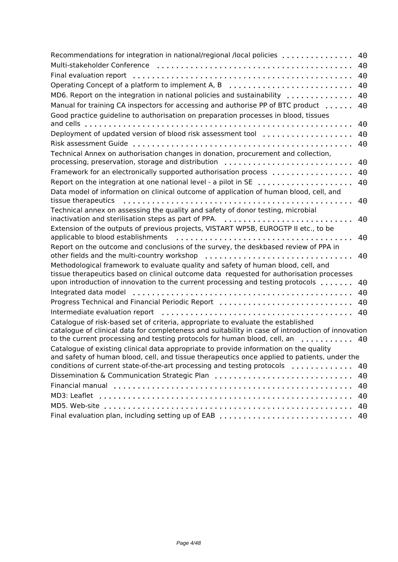| Recommendations for integration in national/regional /local policies                                                                                                           | 40 |
|--------------------------------------------------------------------------------------------------------------------------------------------------------------------------------|----|
|                                                                                                                                                                                | 40 |
| Final evaluation report                                                                                                                                                        | 40 |
| Operating Concept of a platform to implement A, B                                                                                                                              | 40 |
| MD6. Report on the integration in national policies and sustainability                                                                                                         | 40 |
| Manual for training CA inspectors for accessing and authorise PP of BTC product                                                                                                | 40 |
| Good practice guideline to authorisation on preparation processes in blood, tissues                                                                                            |    |
| and cells                                                                                                                                                                      | 40 |
| Deployment of updated version of blood risk assessment tool                                                                                                                    | 40 |
|                                                                                                                                                                                | 40 |
| Technical Annex on authorisation changes in donation, procurement and collection,<br>processing, preservation, storage and distribution                                        | 40 |
| Framework for an electronically supported authorisation process                                                                                                                | 40 |
| Report on the integration at one national level - a pilot in SE                                                                                                                | 40 |
| Data model of information on clinical outcome of application of human blood, cell, and                                                                                         |    |
| tissue therapeutics                                                                                                                                                            | 40 |
| Technical annex on assessing the quality and safety of donor testing, microbial                                                                                                |    |
| inactivation and sterilisation steps as part of PPA.                                                                                                                           | 40 |
| Extension of the outputs of previous projects, VISTART WP5B, EUROGTP II etc., to be                                                                                            |    |
| applicable to blood establishments                                                                                                                                             | 40 |
| Report on the outcome and conclusions of the survey, the deskbased review of PPA in                                                                                            |    |
|                                                                                                                                                                                | 40 |
| Methodological framework to evaluate quality and safety of human blood, cell, and                                                                                              |    |
| tissue therapeutics based on clinical outcome data requested for authorisation processes                                                                                       |    |
| upon introduction of innovation to the current processing and testing protocols $\dots\dots$                                                                                   | 40 |
| Integrated data model                                                                                                                                                          | 40 |
| Progress Technical and Financial Periodic Report                                                                                                                               | 40 |
| Intermediate evaluation report                                                                                                                                                 | 40 |
| Catalogue of risk-based set of criteria, appropriate to evaluate the established                                                                                               |    |
| catalogue of clinical data for completeness and suitability in case of introduction of innovation<br>to the current processing and testing protocols for human blood, cell, an | 40 |
| Catalogue of existing clinical data appropriate to provide information on the quality                                                                                          |    |
| and safety of human blood, cell, and tissue therapeutics once applied to patients, under the                                                                                   |    |
| conditions of current state-of-the-art processing and testing protocols                                                                                                        | 40 |
| Dissemination & Communication Strategic Plan                                                                                                                                   | 40 |
|                                                                                                                                                                                | 40 |
| MD3: Leaflet                                                                                                                                                                   | 40 |
|                                                                                                                                                                                | 40 |
| Final evaluation plan, including setting up of EAB                                                                                                                             | 40 |
|                                                                                                                                                                                |    |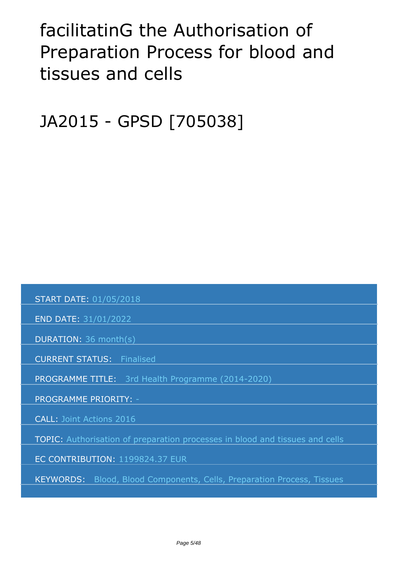# <span id="page-4-0"></span>*facilitatinG the Authorisation of Preparation Process for blood and tissues and cells*

*JA2015 - GPSD [705038]*

 *START DATE: 01/05/2018*

 *END DATE: 31/01/2022*

 *DURATION: 36 month(s)*

 *CURRENT STATUS: Finalised*

 *PROGRAMME TITLE: 3rd Health Programme (2014-2020)* 

 *PROGRAMME PRIORITY: -*

 *CALL: Joint Actions 2016*

 *TOPIC: Authorisation of preparation processes in blood and tissues and cells*

 *EC CONTRIBUTION: 1199824.37 EUR*

 *KEYWORDS: Blood, Blood Components, Cells, Preparation Process, Tissues*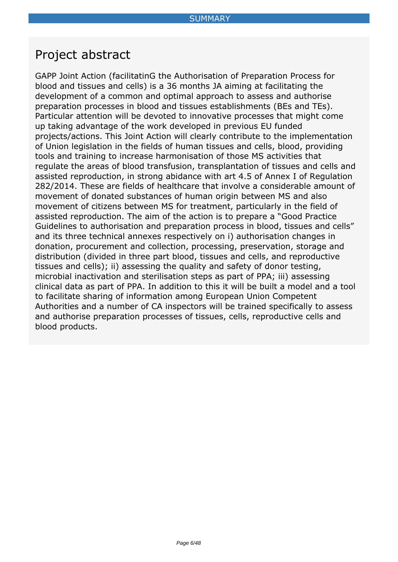### <span id="page-5-0"></span>*Project abstract*

*GAPP Joint Action (facilitatinG the Authorisation of Preparation Process for blood and tissues and cells) is a 36 months JA aiming at facilitating the development of a common and optimal approach to assess and authorise preparation processes in blood and tissues establishments (BEs and TEs). Particular attention will be devoted to innovative processes that might come up taking advantage of the work developed in previous EU funded projects/actions. This Joint Action will clearly contribute to the implementation of Union legislation in the fields of human tissues and cells, blood, providing tools and training to increase harmonisation of those MS activities that regulate the areas of blood transfusion, transplantation of tissues and cells and assisted reproduction, in strong abidance with art 4.5 of Annex I of Regulation 282/2014. These are fields of healthcare that involve a considerable amount of movement of donated substances of human origin between MS and also movement of citizens between MS for treatment, particularly in the field of assisted reproduction. The aim of the action is to prepare a "Good Practice Guidelines to authorisation and preparation process in blood, tissues and cells" and its three technical annexes respectively on i) authorisation changes in donation, procurement and collection, processing, preservation, storage and distribution (divided in three part blood, tissues and cells, and reproductive tissues and cells); ii) assessing the quality and safety of donor testing, microbial inactivation and sterilisation steps as part of PPA; iii) assessing clinical data as part of PPA. In addition to this it will be built a model and a tool to facilitate sharing of information among European Union Competent Authorities and a number of CA inspectors will be trained specifically to assess and authorise preparation processes of tissues, cells, reproductive cells and blood products.*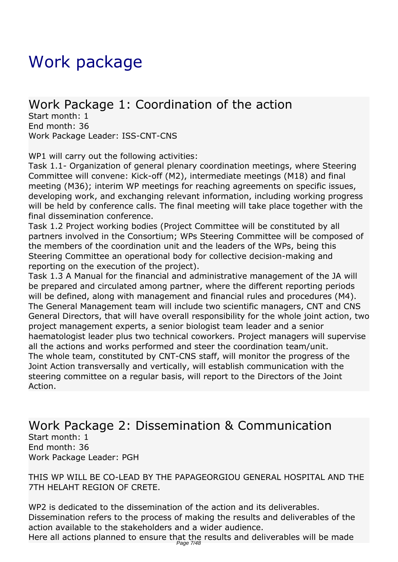# <span id="page-6-0"></span>*Work package*

### *Work Package 1: Coordination of the action*

*Start month: 1 End month: 36 Work Package Leader: ISS-CNT-CNS*

*WP1 will carry out the following activities:*

*Task 1.1- Organization of general plenary coordination meetings, where Steering Committee will convene: Kick-off (M2), intermediate meetings (M18) and final meeting (M36); interim WP meetings for reaching agreements on specific issues, developing work, and exchanging relevant information, including working progress* will be held by conference calls. The final meeting will take place together with the *final dissemination conference.*

*Task 1.2 Project working bodies (Project Committee will be constituted by all partners involved in the Consortium; WPs Steering Committee will be composed of the members of the coordination unit and the leaders of the WPs, being this Steering Committee an operational body for collective decision-making and reporting on the execution of the project).*

*Task 1.3 A Manual for the financial and administrative management of the JA will be prepared and circulated among partner, where the different reporting periods will be defined, along with management and financial rules and procedures (M4). The General Management team will include two scientific managers, CNT and CNS General Directors, that will have overall responsibility for the whole joint action, two project management experts, a senior biologist team leader and a senior haematologist leader plus two technical coworkers. Project managers will supervise all the actions and works performed and steer the coordination team/unit. The whole team, constituted by CNT-CNS staff, will monitor the progress of the Joint Action transversally and vertically, will establish communication with the steering committee on a regular basis, will report to the Directors of the Joint Action.* 

#### *Work Package 2: Dissemination & Communication Start month: 1 End month: 36 Work Package Leader: PGH*

*THIS WP WILL BE CO-LEAD BY THE PAPAGEORGIOU GENERAL HOSPITAL AND THE 7TH HELAHT REGION OF CRETE.*

*WP2 is dedicated to the dissemination of the action and its deliverables. Dissemination refers to the process of making the results and deliverables of the action available to the stakeholders and a wider audience.*

*Here all actions planned to ensure that the results and deliverables will be made* Page 7/48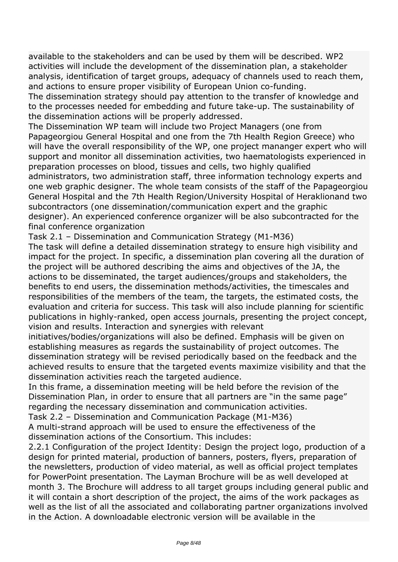*available to the stakeholders and can be used by them will be described. WP2 activities will include the development of the dissemination plan, a stakeholder analysis, identification of target groups, adequacy of channels used to reach them, and actions to ensure proper visibility of European Union co-funding.*

*The dissemination strategy should pay attention to the transfer of knowledge and to the processes needed for embedding and future take-up. The sustainability of the dissemination actions will be properly addressed.*

*The Dissemination WP team will include two Project Managers (one from Papageorgiou General Hospital and one from the 7th Health Region Greece) who* will have the overall responsibility of the WP, one project mananger expert who will *support and monitor all dissemination activities, two haematologists experienced in preparation processes on blood, tissues and cells, two highly qualified administrators, two administration staff, three information technology experts and one web graphic designer. The whole team consists of the staff of the Papageorgiou General Hospital and the 7th Health Region/University Hospital of Heraklionand two subcontractors (one dissemination/communication expert and the graphic designer). An experienced conference organizer will be also subcontracted for the final conference organization*

*Task 2.1 – Dissemination and Communication Strategy (M1-M36)*

*The task will define a detailed dissemination strategy to ensure high visibility and impact for the project. In specific, a dissemination plan covering all the duration of the project will be authored describing the aims and objectives of the JA, the actions to be disseminated, the target audiences/groups and stakeholders, the benefits to end users, the dissemination methods/activities, the timescales and responsibilities of the members of the team, the targets, the estimated costs, the evaluation and criteria for success. This task will also include planning for scientific publications in highly-ranked, open access journals, presenting the project concept, vision and results. Interaction and synergies with relevant*

*initiatives/bodies/organizations will also be defined. Emphasis will be given on establishing measures as regards the sustainability of project outcomes. The dissemination strategy will be revised periodically based on the feedback and the achieved results to ensure that the targeted events maximize visibility and that the dissemination activities reach the targeted audience.*

*In this frame, a dissemination meeting will be held before the revision of the Dissemination Plan, in order to ensure that all partners are "in the same page" regarding the necessary dissemination and communication activities.*

*Task 2.2 – Dissemination and Communication Package (M1-M36)*

*A multi-strand approach will be used to ensure the effectiveness of the dissemination actions of the Consortium. This includes:*

*2.2.1 Configuration of the project Identity: Design the project logo, production of a design for printed material, production of banners, posters, flyers, preparation of the newsletters, production of video material, as well as official project templates for PowerPoint presentation. The Layman Brochure will be as well developed at month 3. The Brochure will address to all target groups including general public and it will contain a short description of the project, the aims of the work packages as well as the list of all the associated and collaborating partner organizations involved in the Action. Α downloadable electronic version will be available in the*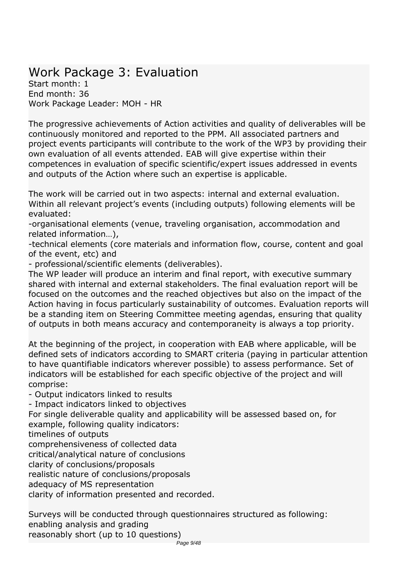### *Work Package 3: Evaluation*

*Start month: 1 End month: 36 Work Package Leader: MOH - HR*

*The progressive achievements of Action activities and quality of deliverables will be continuously monitored and reported to the PPM. All associated partners and project events participants will contribute to the work of the WP3 by providing their own evaluation of all events attended. EAB will give expertise within their competences in evaluation of specific scientific/expert issues addressed in events and outputs of the Action where such an expertise is applicable.*

*The work will be carried out in two aspects: internal and external evaluation. Within all relevant project's events (including outputs) following elements will be evaluated:*

*-organisational elements (venue, traveling organisation, accommodation and related information…),*

*-technical elements (core materials and information flow, course, content and goal of the event, etc) and*

*- professional/scientific elements (deliverables).*

*The WP leader will produce an interim and final report, with executive summary shared with internal and external stakeholders. The final evaluation report will be focused on the outcomes and the reached objectives but also on the impact of the Action having in focus particularly sustainability of outcomes. Evaluation reports will be a standing item on Steering Committee meeting agendas, ensuring that quality of outputs in both means accuracy and contemporaneity is always a top priority.*

*At the beginning of the project, in cooperation with EAB where applicable, will be defined sets of indicators according to SMART criteria (paying in particular attention to have quantifiable indicators wherever possible) to assess performance. Set of indicators will be established for each specific objective of the project and will comprise:*

*- Output indicators linked to results*

*- Impact indicators linked to objectives*

*For single deliverable quality and applicability will be assessed based on, for example, following quality indicators:*

*timelines of outputs*

*comprehensiveness of collected data*

*critical/analytical nature of conclusions*

*clarity of conclusions/proposals*

*realistic nature of conclusions/proposals*

*adequacy of MS representation*

*clarity of information presented and recorded.*

*Surveys will be conducted through questionnaires structured as following: enabling analysis and grading reasonably short (up to 10 questions)*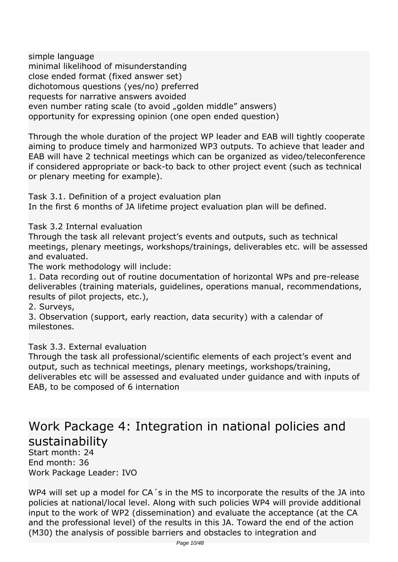*simple language minimal likelihood of misunderstanding close ended format (fixed answer set) dichotomous questions (yes/no) preferred requests for narrative answers avoided* even number rating scale (to avoid "golden middle" answers) *opportunity for expressing opinion (one open ended question)*

*Through the whole duration of the project WP leader and EAB will tightly cooperate aiming to produce timely and harmonized WP3 outputs. To achieve that leader and EAB will have 2 technical meetings which can be organized as video/teleconference if considered appropriate or back-to back to other project event (such as technical or plenary meeting for example).*

*Task 3.1. Definition of a project evaluation plan In the first 6 months of JA lifetime project evaluation plan will be defined.*

*Task 3.2 Internal evaluation*

*Through the task all relevant project's events and outputs, such as technical meetings, plenary meetings, workshops/trainings, deliverables etc. will be assessed and evaluated.*

*The work methodology will include:*

*1. Data recording out of routine documentation of horizontal WPs and pre-release deliverables (training materials, guidelines, operations manual, recommendations, results of pilot projects, etc.),*

*2. Surveys,*

*3. Observation (support, early reaction, data security) with a calendar of milestones.*

*Task 3.3. External evaluation*

*Through the task all professional/scientific elements of each project's event and output, such as technical meetings, plenary meetings, workshops/training, deliverables etc will be assessed and evaluated under guidance and with inputs of EAB, to be composed of 6 internation* 

### *Work Package 4: Integration in national policies and sustainability*

*Start month: 24 End month: 36 Work Package Leader: IVO*

*WP4 will set up a model for CA´s in the MS to incorporate the results of the JA into policies at national/local level. Along with such policies WP4 will provide additional input to the work of WP2 (dissemination) and evaluate the acceptance (at the CA and the professional level) of the results in this JA. Toward the end of the action (M30) the analysis of possible barriers and obstacles to integration and*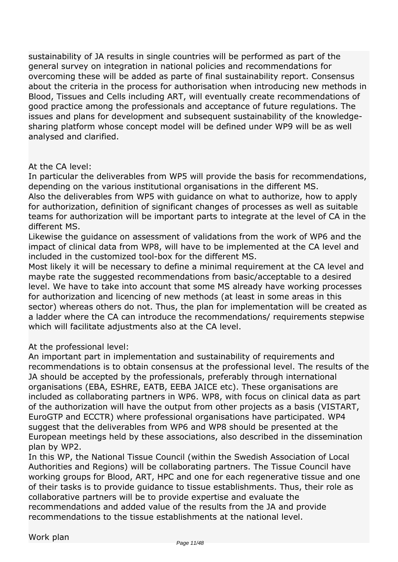*sustainability of JA results in single countries will be performed as part of the general survey on integration in national policies and recommendations for overcoming these will be added as parte of final sustainability report. Consensus about the criteria in the process for authorisation when introducing new methods in Blood, Tissues and Cells including ART, will eventually create recommendations of good practice among the professionals and acceptance of future regulations. The issues and plans for development and subsequent sustainability of the knowledgesharing platform whose concept model will be defined under WP9 will be as well analysed and clarified.*

#### *At the CA level:*

*In particular the deliverables from WP5 will provide the basis for recommendations, depending on the various institutional organisations in the different MS.*

*Also the deliverables from WP5 with guidance on what to authorize, how to apply for authorization, definition of significant changes of processes as well as suitable teams for authorization will be important parts to integrate at the level of CA in the different MS.*

*Likewise the guidance on assessment of validations from the work of WP6 and the impact of clinical data from WP8, will have to be implemented at the CA level and included in the customized tool-box for the different MS.*

*Most likely it will be necessary to define a minimal requirement at the CA level and maybe rate the suggested recommendations from basic/acceptable to a desired level. We have to take into account that some MS already have working processes for authorization and licencing of new methods (at least in some areas in this sector) whereas others do not. Thus, the plan for implementation will be created as a ladder where the CA can introduce the recommendations/ requirements stepwise which will facilitate adjustments also at the CA level.*

*At the professional level:*

*An important part in implementation and sustainability of requirements and recommendations is to obtain consensus at the professional level. The results of the JA should be accepted by the professionals, preferably through international organisations (EBA, ESHRE, EATB, EEBA JAICE etc). These organisations are included as collaborating partners in WP6. WP8, with focus on clinical data as part of the authorization will have the output from other projects as a basis (VISTART, EuroGTP and ECCTR) where professional organisations have participated. WP4 suggest that the deliverables from WP6 and WP8 should be presented at the European meetings held by these associations, also described in the dissemination plan by WP2.*

*In this WP, the National Tissue Council (within the Swedish Association of Local Authorities and Regions) will be collaborating partners. The Tissue Council have working groups for Blood, ART, HPC and one for each regenerative tissue and one of their tasks is to provide guidance to tissue establishments. Thus, their role as collaborative partners will be to provide expertise and evaluate the recommendations and added value of the results from the JA and provide recommendations to the tissue establishments at the national level.*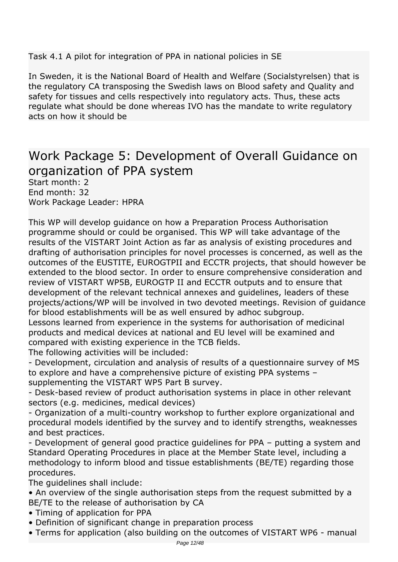*Task 4.1 A pilot for integration of PPA in national policies in SE*

*In Sweden, it is the National Board of Health and Welfare (Socialstyrelsen) that is the regulatory CA transposing the Swedish laws on Blood safety and Quality and safety for tissues and cells respectively into regulatory acts. Thus, these acts regulate what should be done whereas IVO has the mandate to write regulatory acts on how it should be* 

### *Work Package 5: Development of Overall Guidance on organization of PPA system*

*Start month: 2 End month: 32 Work Package Leader: HPRA*

*This WP will develop guidance on how a Preparation Process Authorisation programme should or could be organised. This WP will take advantage of the results of the VISTART Joint Action as far as analysis of existing procedures and drafting of authorisation principles for novel processes is concerned, as well as the outcomes of the EUSTITE, EUROGTPII and ECCTR projects, that should however be extended to the blood sector. In order to ensure comprehensive consideration and review of VISTART WP5B, EUROGTP II and ECCTR outputs and to ensure that development of the relevant technical annexes and guidelines, leaders of these projects/actions/WP will be involved in two devoted meetings. Revision of guidance for blood establishments will be as well ensured by adhoc subgroup.*

*Lessons learned from experience in the systems for authorisation of medicinal products and medical devices at national and EU level will be examined and compared with existing experience in the TCB fields.*

*The following activities will be included:*

*- Development, circulation and analysis of results of a questionnaire survey of MS to explore and have a comprehensive picture of existing PPA systems – supplementing the VISTART WP5 Part B survey.*

*- Desk-based review of product authorisation systems in place in other relevant sectors (e.g. medicines, medical devices)*

*- Organization of a multi-country workshop to further explore organizational and procedural models identified by the survey and to identify strengths, weaknesses and best practices.*

*- Development of general good practice guidelines for PPA – putting a system and Standard Operating Procedures in place at the Member State level, including a methodology to inform blood and tissue establishments (BE/TE) regarding those procedures.*

*The guidelines shall include:*

*• An overview of the single authorisation steps from the request submitted by a BE/TE to the release of authorisation by CA*

- *Timing of application for PPA*
- *Definition of significant change in preparation process*
- *Terms for application (also building on the outcomes of VISTART WP6 manual*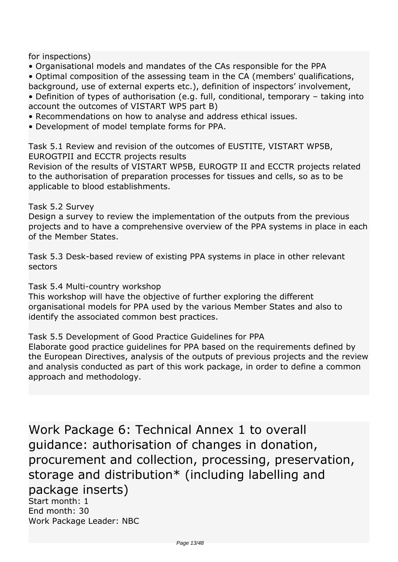*for inspections)*

- *Organisational models and mandates of the CAs responsible for the PPA*
- *Optimal composition of the assessing team in the CA (members' qualifications,*
- *background, use of external experts etc.), definition of inspectors' involvement, • Definition of types of authorisation (e.g. full, conditional, temporary – taking into*
- *account the outcomes of VISTART WP5 part B)*
- *Recommendations on how to analyse and address ethical issues.*
- *Development of model template forms for PPA.*

*Task 5.1 Review and revision of the outcomes of EUSTITE, VISTART WP5B, EUROGTPII and ECCTR projects results*

*Revision of the results of VISTART WP5B, EUROGTP II and ECCTR projects related to the authorisation of preparation processes for tissues and cells, so as to be applicable to blood establishments.*

#### *Task 5.2 Survey*

*Design a survey to review the implementation of the outputs from the previous projects and to have a comprehensive overview of the PPA systems in place in each of the Member States.*

*Task 5.3 Desk-based review of existing PPA systems in place in other relevant sectors*

*Task 5.4 Multi-country workshop*

*This workshop will have the objective of further exploring the different organisational models for PPA used by the various Member States and also to identify the associated common best practices.*

#### *Task 5.5 Development of Good Practice Guidelines for PPA*

*Elaborate good practice guidelines for PPA based on the requirements defined by the European Directives, analysis of the outputs of previous projects and the review and analysis conducted as part of this work package, in order to define a common approach and methodology.*

*Work Package 6: Technical Annex 1 to overall guidance: authorisation of changes in donation, procurement and collection, processing, preservation, storage and distribution\* (including labelling and package inserts)*

*Start month: 1 End month: 30 Work Package Leader: NBC*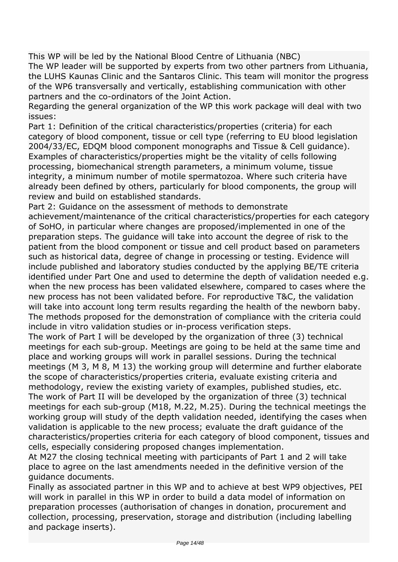*This WP will be led by the National Blood Centre of Lithuania (NBC) The WP leader will be supported by experts from two other partners from Lithuania, the LUHS Kaunas Clinic and the Santaros Clinic. This team will monitor the progress of the WP6 transversally and vertically, establishing communication with other partners and the co-ordinators of the Joint Action.*

*Regarding the general organization of the WP this work package will deal with two issues:*

*Part 1: Definition of the critical characteristics/properties (criteria) for each category of blood component, tissue or cell type (referring to EU blood legislation 2004/33/EC, EDQM blood component monographs and Tissue & Cell guidance). Examples of characteristics/properties might be the vitality of cells following processing, biomechanical strength parameters, a minimum volume, tissue integrity, a minimum number of motile spermatozoa. Where such criteria have already been defined by others, particularly for blood components, the group will review and build on established standards.*

*Part 2: Guidance on the assessment of methods to demonstrate*

*achievement/maintenance of the critical characteristics/properties for each category of SoHO, in particular where changes are proposed/implemented in one of the preparation steps. The guidance will take into account the degree of risk to the patient from the blood component or tissue and cell product based on parameters such as historical data, degree of change in processing or testing. Evidence will include published and laboratory studies conducted by the applying BE/TE criteria identified under Part One and used to determine the depth of validation needed e.g. when the new process has been validated elsewhere, compared to cases where the new process has not been validated before. For reproductive T&C, the validation will take into account long term results regarding the health of the newborn baby. The methods proposed for the demonstration of compliance with the criteria could include in vitro validation studies or in-process verification steps.*

*The work of Part I will be developed by the organization of three (3) technical meetings for each sub-group. Meetings are going to be held at the same time and place and working groups will work in parallel sessions. During the technical meetings (M 3, M 8, M 13) the working group will determine and further elaborate the scope of characteristics/properties criteria, evaluate existing criteria and methodology, review the existing variety of examples, published studies, etc. The work of Part II will be developed by the organization of three (3) technical meetings for each sub-group (M18, M.22, M.25). During the technical meetings the working group will study of the depth validation needed, identifying the cases when validation is applicable to the new process; evaluate the draft guidance of the characteristics/properties criteria for each category of blood component, tissues and cells, especially considering proposed changes implementation.*

*At M27 the closing technical meeting with participants of Part 1 and 2 will take place to agree on the last amendments needed in the definitive version of the guidance documents.*

*Finally as associated partner in this WP and to achieve at best WP9 objectives, PEI will work in parallel in this WP in order to build a data model of information on preparation processes (authorisation of changes in donation, procurement and collection, processing, preservation, storage and distribution (including labelling and package inserts).*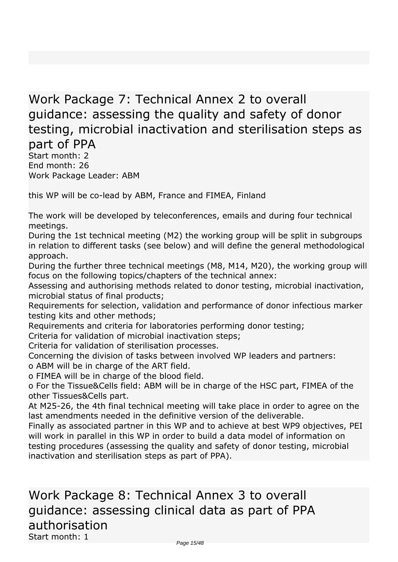### *Work Package 7: Technical Annex 2 to overall guidance: assessing the quality and safety of donor testing, microbial inactivation and sterilisation steps as part of PPA*

*Start month: 2 End month: 26 Work Package Leader: ABM*

*this WP will be co-lead by ABM, France and FIMEA, Finland*

*The work will be developed by teleconferences, emails and during four technical meetings.*

*During the 1st technical meeting (M2) the working group will be split in subgroups in relation to different tasks (see below) and will define the general methodological approach.*

*During the further three technical meetings (M8, M14, M20), the working group will focus on the following topics/chapters of the technical annex:*

*Assessing and authorising methods related to donor testing, microbial inactivation, microbial status of final products;*

*Requirements for selection, validation and performance of donor infectious marker testing kits and other methods;*

*Requirements and criteria for laboratories performing donor testing;*

*Criteria for validation of microbial inactivation steps;*

*Criteria for validation of sterilisation processes.*

*Concerning the division of tasks between involved WP leaders and partners:*

*o ABM will be in charge of the ART field.*

*o FIMEA will be in charge of the blood field.*

*o For the Tissue&Cells field: ABM will be in charge of the HSC part, FIMEA of the other Tissues&Cells part.*

*At M25-26, the 4th final technical meeting will take place in order to agree on the last amendments needed in the definitive version of the deliverable.*

*Finally as associated partner in this WP and to achieve at best WP9 objectives, PEI will work in parallel in this WP in order to build a data model of information on testing procedures (assessing the quality and safety of donor testing, microbial inactivation and sterilisation steps as part of PPA).* 

*Work Package 8: Technical Annex 3 to overall guidance: assessing clinical data as part of PPA authorisation Start month: 1*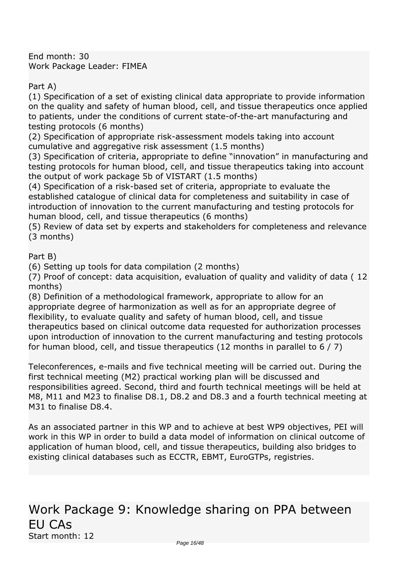*End month: 30 Work Package Leader: FIMEA*

*Part A)*

*(1) Specification of a set of existing clinical data appropriate to provide information on the quality and safety of human blood, cell, and tissue therapeutics once applied to patients, under the conditions of current state-of-the-art manufacturing and testing protocols (6 months)*

*(2) Specification of appropriate risk-assessment models taking into account cumulative and aggregative risk assessment (1.5 months)*

*(3) Specification of criteria, appropriate to define "innovation" in manufacturing and testing protocols for human blood, cell, and tissue therapeutics taking into account the output of work package 5b of VISTART (1.5 months)*

*(4) Specification of a risk-based set of criteria, appropriate to evaluate the established catalogue of clinical data for completeness and suitability in case of introduction of innovation to the current manufacturing and testing protocols for human blood, cell, and tissue therapeutics (6 months)*

*(5) Review of data set by experts and stakeholders for completeness and relevance (3 months)*

*Part B)*

*(6) Setting up tools for data compilation (2 months)*

*(7) Proof of concept: data acquisition, evaluation of quality and validity of data ( 12 months)*

*(8) Definition of a methodological framework, appropriate to allow for an appropriate degree of harmonization as well as for an appropriate degree of flexibility, to evaluate quality and safety of human blood, cell, and tissue therapeutics based on clinical outcome data requested for authorization processes upon introduction of innovation to the current manufacturing and testing protocols for human blood, cell, and tissue therapeutics (12 months in parallel to 6 / 7)*

*Teleconferences, e-mails and five technical meeting will be carried out. During the first technical meeting (M2) practical working plan will be discussed and responsibilities agreed. Second, third and fourth technical meetings will be held at M8, M11 and M23 to finalise D8.1, D8.2 and D8.3 and a fourth technical meeting at M31 to finalise D8.4.*

*As an associated partner in this WP and to achieve at best WP9 objectives, PEI will work in this WP in order to build a data model of information on clinical outcome of application of human blood, cell, and tissue therapeutics, building also bridges to existing clinical databases such as ECCTR, EBMT, EuroGTPs, registries.*

### *Work Package 9: Knowledge sharing on PPA between EU CAs Start month: 12*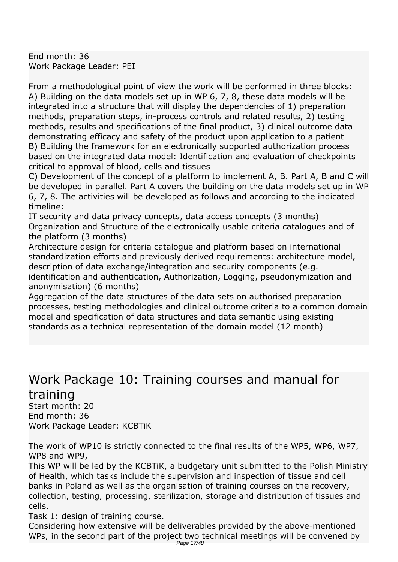*End month: 36 Work Package Leader: PEI*

*From a methodological point of view the work will be performed in three blocks: A) Building on the data models set up in WP 6, 7, 8, these data models will be integrated into a structure that will display the dependencies of 1) preparation methods, preparation steps, in-process controls and related results, 2) testing methods, results and specifications of the final product, 3) clinical outcome data demonstrating efficacy and safety of the product upon application to a patient B) Building the framework for an electronically supported authorization process based on the integrated data model: Identification and evaluation of checkpoints critical to approval of blood, cells and tissues*

*C) Development of the concept of a platform to implement A, B. Part A, B and C will be developed in parallel. Part A covers the building on the data models set up in WP 6, 7, 8. The activities will be developed as follows and according to the indicated timeline:*

*IT security and data privacy concepts, data access concepts (3 months) Organization and Structure of the electronically usable criteria catalogues and of the platform (3 months)*

*Architecture design for criteria catalogue and platform based on international standardization efforts and previously derived requirements: architecture model, description of data exchange/integration and security components (e.g. identification and authentication, Authorization, Logging, pseudonymization and*

*anonymisation) (6 months) Aggregation of the data structures of the data sets on authorised preparation processes, testing methodologies and clinical outcome criteria to a common domain model and specification of data structures and data semantic using existing standards as a technical representation of the domain model (12 month)*

### *Work Package 10: Training courses and manual for training*

*Start month: 20 End month: 36 Work Package Leader: KCBTiK*

*The work of WP10 is strictly connected to the final results of the WP5, WP6, WP7, WP8 and WP9,*

*This WP will be led by the KCBTiK, a budgetary unit submitted to the Polish Ministry of Health, which tasks include the supervision and inspection of tissue and cell banks in Poland as well as the organisation of training courses on the recovery, collection, testing, processing, sterilization, storage and distribution of tissues and cells.*

*Task 1: design of training course.*

*Considering how extensive will be deliverables provided by the above-mentioned WPs, in the second part of the project two technical meetings will be convened by* Page 17/48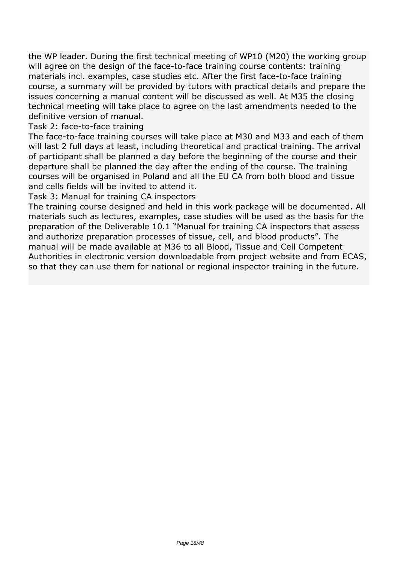*the WP leader. During the first technical meeting of WP10 (M20) the working group will agree on the design of the face-to-face training course contents: training materials incl. examples, case studies etc. After the first face-to-face training course, a summary will be provided by tutors with practical details and prepare the issues concerning a manual content will be discussed as well. At M35 the closing technical meeting will take place to agree on the last amendments needed to the definitive version of manual.*

*Task 2: face-to-face training*

*The face-to-face training courses will take place at M30 and M33 and each of them will last 2 full days at least, including theoretical and practical training. The arrival of participant shall be planned a day before the beginning of the course and their departure shall be planned the day after the ending of the course. The training courses will be organised in Poland and all the EU CA from both blood and tissue and cells fields will be invited to attend it.*

*Task 3: Manual for training CA inspectors*

*The training course designed and held in this work package will be documented. All materials such as lectures, examples, case studies will be used as the basis for the preparation of the Deliverable 10.1 "Manual for training CA inspectors that assess and authorize preparation processes of tissue, cell, and blood products". The manual will be made available at M36 to all Blood, Tissue and Cell Competent Authorities in electronic version downloadable from project website and from ECAS, so that they can use them for national or regional inspector training in the future.*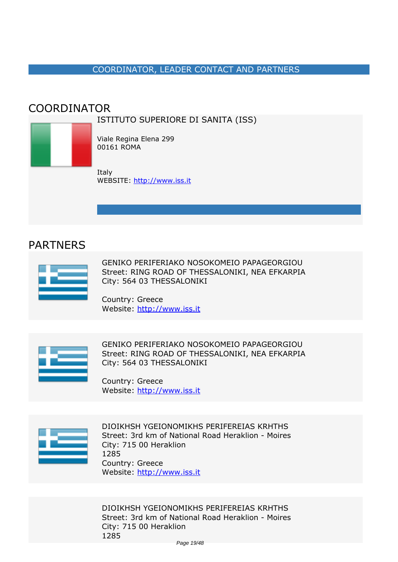#### *COORDINATOR, LEADER CONTACT AND PARTNERS*

#### <span id="page-18-0"></span>*COORDINATOR*

*ISTITUTO SUPERIORE DI SANITA (ISS)*



*Viale Regina Elena 299 00161 ROMA*

*Italy WEBSITE:* <http://www.iss.it>

#### *PARTNERS*



*GENIKO PERIFERIAKO NOSOKOMEIO PAPAGEORGIOU Street: RING ROAD OF THESSALONIKI, NEA EFKARPIA City: 564 03 THESSALONIKI*

*Country: Greece Website:* http://www.iss.it



*GENIKO PERIFERIAKO NOSOKOMEIO PAPAGEORGIOU Street: RING ROAD OF THESSALONIKI, NEA EFKARPIA City: 564 03 THESSALONIKI*

*Country: Greece Website:* http://www.iss.it



*DIOIKHSH YGEIONOMIKHS PERIFEREIAS KRHTHS Street: 3rd km of National Road Heraklion - Moires City: 715 00 Heraklion 1285 Country: Greece Website:* http://www.iss.it

*DIOIKHSH YGEIONOMIKHS PERIFEREIAS KRHTHS Street: 3rd km of National Road Heraklion - Moires City: 715 00 Heraklion 1285*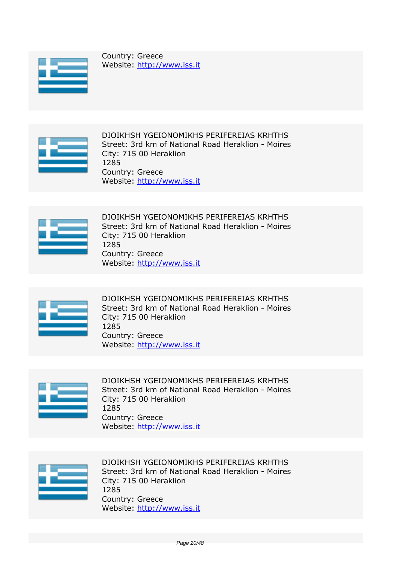

*Country: Greece Website:* http://www.iss.it



*DIOIKHSH YGEIONOMIKHS PERIFEREIAS KRHTHS Street: 3rd km of National Road Heraklion - Moires City: 715 00 Heraklion 1285 Country: Greece Website:* http://www.iss.it



*DIOIKHSH YGEIONOMIKHS PERIFEREIAS KRHTHS Street: 3rd km of National Road Heraklion - Moires City: 715 00 Heraklion 1285 Country: Greece Website:* http://www.iss.it



*DIOIKHSH YGEIONOMIKHS PERIFEREIAS KRHTHS Street: 3rd km of National Road Heraklion - Moires City: 715 00 Heraklion 1285 Country: Greece Website:* http://www.iss.it



*DIOIKHSH YGEIONOMIKHS PERIFEREIAS KRHTHS Street: 3rd km of National Road Heraklion - Moires City: 715 00 Heraklion 1285 Country: Greece Website:* http://www.iss.it



*DIOIKHSH YGEIONOMIKHS PERIFEREIAS KRHTHS Street: 3rd km of National Road Heraklion - Moires City: 715 00 Heraklion 1285 Country: Greece Website:* http://www.iss.it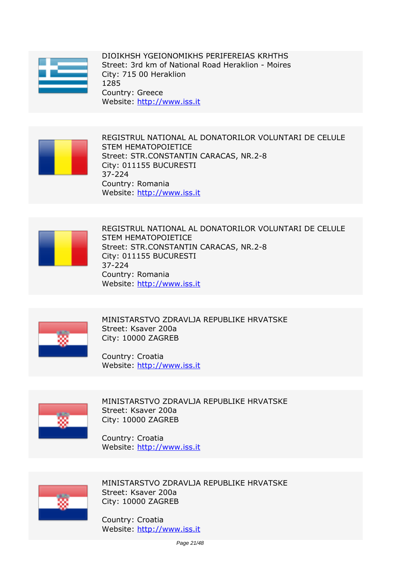

*DIOIKHSH YGEIONOMIKHS PERIFEREIAS KRHTHS Street: 3rd km of National Road Heraklion - Moires City: 715 00 Heraklion 1285 Country: Greece Website:* http://www.iss.it



*REGISTRUL NATIONAL AL DONATORILOR VOLUNTARI DE CELULE STEM HEMATOPOIETICE Street: STR.CONSTANTIN CARACAS, NR.2-8 City: 011155 BUCURESTI 37-224 Country: Romania Website:* http://www.iss.it



*REGISTRUL NATIONAL AL DONATORILOR VOLUNTARI DE CELULE STEM HEMATOPOIETICE Street: STR.CONSTANTIN CARACAS, NR.2-8 City: 011155 BUCURESTI 37-224 Country: Romania Website:* http://www.iss.it



*MINISTARSTVO ZDRAVLJA REPUBLIKE HRVATSKE Street: Ksaver 200a City: 10000 ZAGREB*

*Country: Croatia Website:* http://www.iss.it



*MINISTARSTVO ZDRAVLJA REPUBLIKE HRVATSKE Street: Ksaver 200a City: 10000 ZAGREB*

*Country: Croatia Website:* http://www.iss.it



*MINISTARSTVO ZDRAVLJA REPUBLIKE HRVATSKE Street: Ksaver 200a City: 10000 ZAGREB*

*Country: Croatia Website:* http://www.iss.it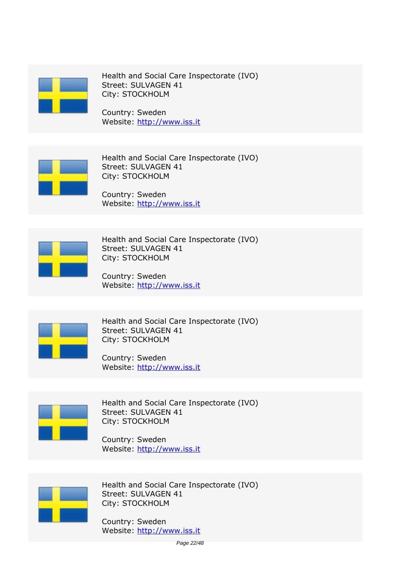

*Health and Social Care Inspectorate (IVO) Street: SULVAGEN 41 City: STOCKHOLM*

*Country: Sweden Website:* http://www.iss.it



*Health and Social Care Inspectorate (IVO) Street: SULVAGEN 41 City: STOCKHOLM*

*Country: Sweden Website:* http://www.iss.it



*Health and Social Care Inspectorate (IVO) Street: SULVAGEN 41 City: STOCKHOLM*

*Country: Sweden Website:* http://www.iss.it



*Health and Social Care Inspectorate (IVO) Street: SULVAGEN 41 City: STOCKHOLM*

*Country: Sweden Website:* http://www.iss.it



*Health and Social Care Inspectorate (IVO) Street: SULVAGEN 41 City: STOCKHOLM*

*Country: Sweden Website:* http://www.iss.it



*Health and Social Care Inspectorate (IVO) Street: SULVAGEN 41 City: STOCKHOLM*

*Country: Sweden Website:* http://www.iss.it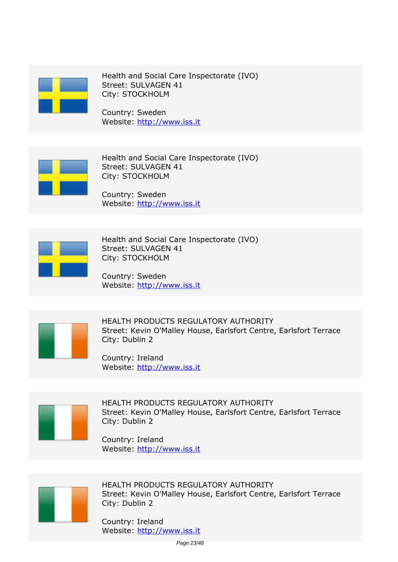

*Health and Social Care Inspectorate (IVO) Street: SULVAGEN 41 City: STOCKHOLM*

*Country: Sweden Website:* http://www.iss.it



*Health and Social Care Inspectorate (IVO) Street: SULVAGEN 41 City: STOCKHOLM*

*Country: Sweden Website:* http://www.iss.it



*Health and Social Care Inspectorate (IVO) Street: SULVAGEN 41 City: STOCKHOLM*

*Country: Sweden Website:* http://www.iss.it



*HEALTH PRODUCTS REGULATORY AUTHORITY Street: Kevin O'Malley House, Earlsfort Centre, Earlsfort Terrace City: Dublin 2*

*Country: Ireland Website:* http://www.iss.it



*HEALTH PRODUCTS REGULATORY AUTHORITY Street: Kevin O'Malley House, Earlsfort Centre, Earlsfort Terrace City: Dublin 2*

*Country: Ireland Website:* http://www.iss.it



*HEALTH PRODUCTS REGULATORY AUTHORITY Street: Kevin O'Malley House, Earlsfort Centre, Earlsfort Terrace City: Dublin 2*

*Country: Ireland Website:* http://www.iss.it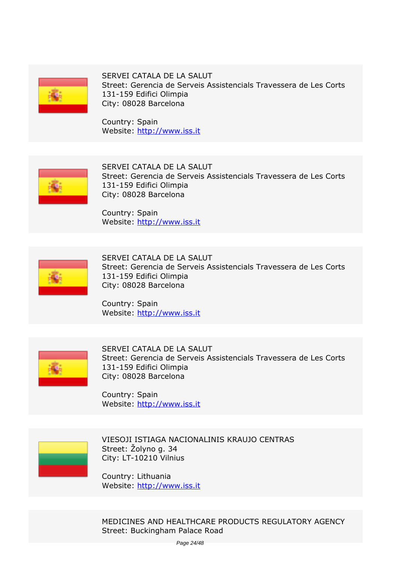

*SERVEI CATALA DE LA SALUT Street: Gerencia de Serveis Assistencials Travessera de Les Corts 131-159 Edifici Olimpia City: 08028 Barcelona*

*Country: Spain Website:* http://www.iss.it



*SERVEI CATALA DE LA SALUT Street: Gerencia de Serveis Assistencials Travessera de Les Corts 131-159 Edifici Olimpia City: 08028 Barcelona*

*Country: Spain Website:* http://www.iss.it



*SERVEI CATALA DE LA SALUT Street: Gerencia de Serveis Assistencials Travessera de Les Corts 131-159 Edifici Olimpia City: 08028 Barcelona*

*Country: Spain Website:* http://www.iss.it



*SERVEI CATALA DE LA SALUT Street: Gerencia de Serveis Assistencials Travessera de Les Corts 131-159 Edifici Olimpia City: 08028 Barcelona*

*Country: Spain Website:* http://www.iss.it



*VIESOJI ISTIAGA NACIONALINIS KRAUJO CENTRAS Street: Žolyno g. 34 City: LT-10210 Vilnius*

*Country: Lithuania Website:* http://www.iss.it

*MEDICINES AND HEALTHCARE PRODUCTS REGULATORY AGENCY Street: Buckingham Palace Road*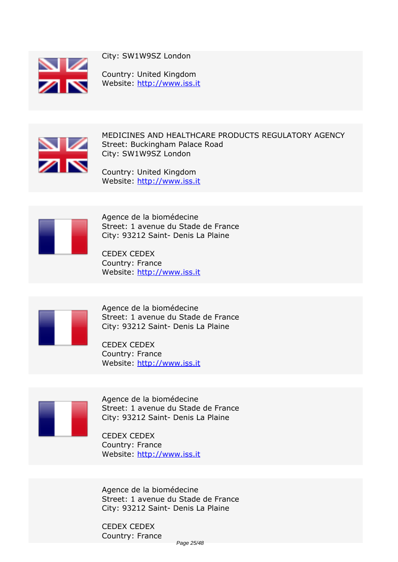

*City: SW1W9SZ London*

*Country: United Kingdom Website:* http://www.iss.it



*MEDICINES AND HEALTHCARE PRODUCTS REGULATORY AGENCY Street: Buckingham Palace Road City: SW1W9SZ London*

*Country: United Kingdom Website:* http://www.iss.it



*Agence de la biomédecine Street: 1 avenue du Stade de France City: 93212 Saint- Denis La Plaine*

*CEDEX CEDEX Country: France Website:* http://www.iss.it



*Agence de la biomédecine Street: 1 avenue du Stade de France City: 93212 Saint- Denis La Plaine*

*CEDEX CEDEX Country: France Website:* http://www.iss.it



*Agence de la biomédecine Street: 1 avenue du Stade de France City: 93212 Saint- Denis La Plaine*

*CEDEX CEDEX Country: France Website:* http://www.iss.it

*Agence de la biomédecine Street: 1 avenue du Stade de France City: 93212 Saint- Denis La Plaine*

*CEDEX CEDEX Country: France*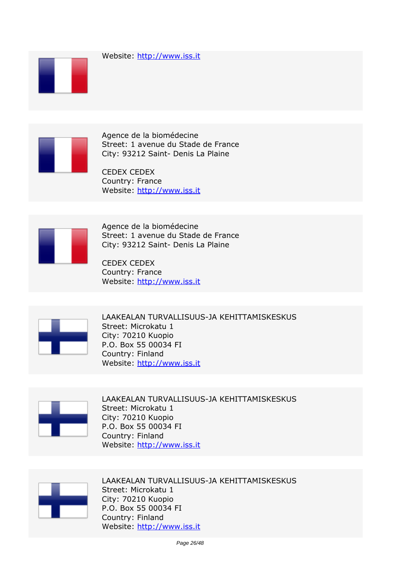



*Agence de la biomédecine Street: 1 avenue du Stade de France City: 93212 Saint- Denis La Plaine*

*CEDEX CEDEX Country: France Website:* http://www.iss.it



*Agence de la biomédecine Street: 1 avenue du Stade de France City: 93212 Saint- Denis La Plaine*

*CEDEX CEDEX Country: France Website:* http://www.iss.it



*LAAKEALAN TURVALLISUUS-JA KEHITTAMISKESKUS Street: Microkatu 1 City: 70210 Kuopio P.O. Box 55 00034 FI Country: Finland Website:* http://www.iss.it



*LAAKEALAN TURVALLISUUS-JA KEHITTAMISKESKUS Street: Microkatu 1 City: 70210 Kuopio P.O. Box 55 00034 FI Country: Finland Website:* http://www.iss.it



*LAAKEALAN TURVALLISUUS-JA KEHITTAMISKESKUS Street: Microkatu 1 City: 70210 Kuopio P.O. Box 55 00034 FI Country: Finland Website:* http://www.iss.it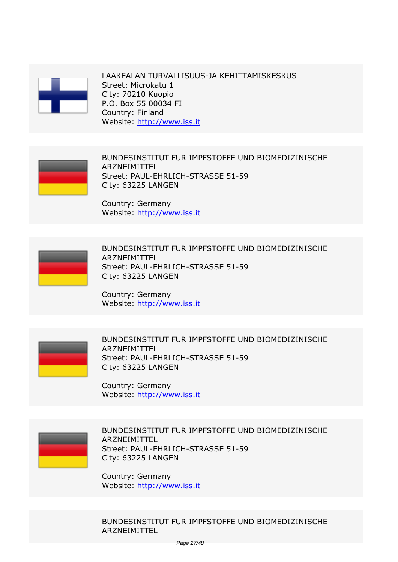

*LAAKEALAN TURVALLISUUS-JA KEHITTAMISKESKUS Street: Microkatu 1 City: 70210 Kuopio P.O. Box 55 00034 FI Country: Finland Website:* http://www.iss.it



*BUNDESINSTITUT FUR IMPFSTOFFE UND BIOMEDIZINISCHE ARZNEIMITTEL Street: PAUL-EHRLICH-STRASSE 51-59 City: 63225 LANGEN*

*Country: Germany Website:* http://www.iss.it



*BUNDESINSTITUT FUR IMPFSTOFFE UND BIOMEDIZINISCHE ARZNEIMITTEL Street: PAUL-EHRLICH-STRASSE 51-59 City: 63225 LANGEN*

*Country: Germany Website:* http://www.iss.it



*BUNDESINSTITUT FUR IMPFSTOFFE UND BIOMEDIZINISCHE ARZNEIMITTEL Street: PAUL-EHRLICH-STRASSE 51-59 City: 63225 LANGEN*

*Country: Germany Website:* http://www.iss.it



*BUNDESINSTITUT FUR IMPFSTOFFE UND BIOMEDIZINISCHE ARZNEIMITTEL Street: PAUL-EHRLICH-STRASSE 51-59 City: 63225 LANGEN*

*Country: Germany Website:* http://www.iss.it

*BUNDESINSTITUT FUR IMPFSTOFFE UND BIOMEDIZINISCHE ARZNEIMITTEL*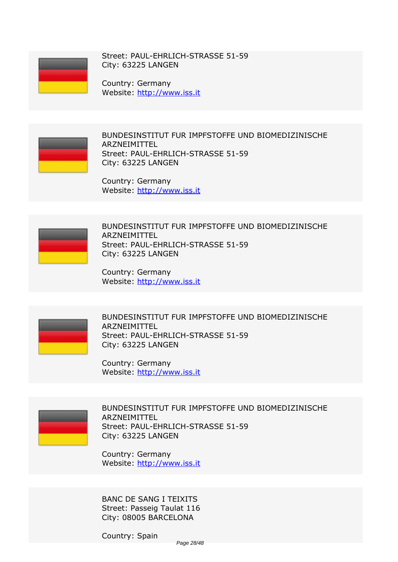

*Street: PAUL-EHRLICH-STRASSE 51-59 City: 63225 LANGEN*

*Country: Germany Website:* http://www.iss.it



*BUNDESINSTITUT FUR IMPFSTOFFE UND BIOMEDIZINISCHE ARZNEIMITTEL Street: PAUL-EHRLICH-STRASSE 51-59 City: 63225 LANGEN*

*Country: Germany Website:* http://www.iss.it



*BUNDESINSTITUT FUR IMPFSTOFFE UND BIOMEDIZINISCHE ARZNEIMITTEL Street: PAUL-EHRLICH-STRASSE 51-59 City: 63225 LANGEN*

*Country: Germany Website:* http://www.iss.it



*BUNDESINSTITUT FUR IMPFSTOFFE UND BIOMEDIZINISCHE ARZNEIMITTEL Street: PAUL-EHRLICH-STRASSE 51-59 City: 63225 LANGEN*

*Country: Germany Website:* http://www.iss.it



*BUNDESINSTITUT FUR IMPFSTOFFE UND BIOMEDIZINISCHE ARZNEIMITTEL Street: PAUL-EHRLICH-STRASSE 51-59 City: 63225 LANGEN*

*Country: Germany Website:* http://www.iss.it

*BANC DE SANG I TEIXITS Street: Passeig Taulat 116 City: 08005 BARCELONA*

*Country: Spain*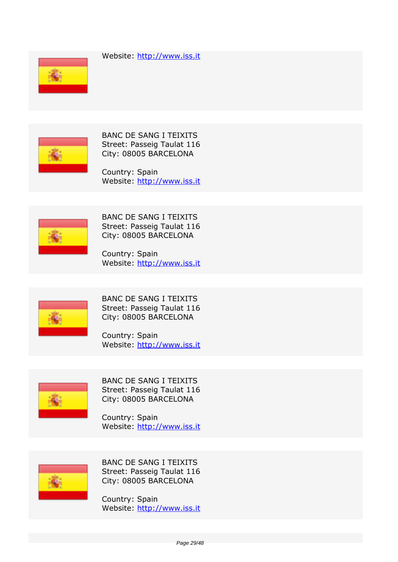*Website:* http://www.iss.it





*BANC DE SANG I TEIXITS Street: Passeig Taulat 116 City: 08005 BARCELONA*

*Country: Spain Website:* http://www.iss.it



*BANC DE SANG I TEIXITS Street: Passeig Taulat 116 City: 08005 BARCELONA*

*Country: Spain Website:* http://www.iss.it



*BANC DE SANG I TEIXITS Street: Passeig Taulat 116 City: 08005 BARCELONA*

*Country: Spain Website:* http://www.iss.it



*BANC DE SANG I TEIXITS Street: Passeig Taulat 116 City: 08005 BARCELONA*

*Country: Spain Website:* http://www.iss.it



*BANC DE SANG I TEIXITS Street: Passeig Taulat 116 City: 08005 BARCELONA*

*Country: Spain Website:* http://www.iss.it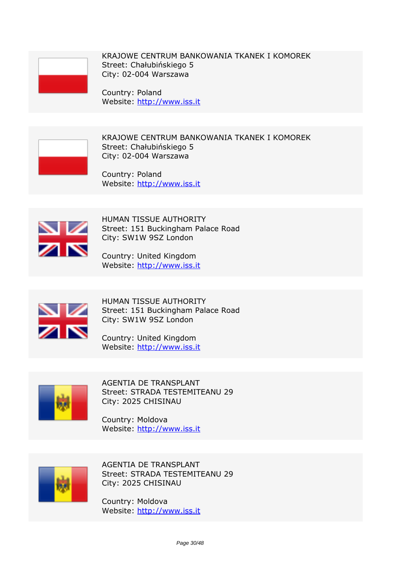

*KRAJOWE CENTRUM BANKOWANIA TKANEK I KOMOREK Street: Chałubińskiego 5 City: 02-004 Warszawa*

*Country: Poland Website:* http://www.iss.it



*KRAJOWE CENTRUM BANKOWANIA TKANEK I KOMOREK Street: Chałubińskiego 5 City: 02-004 Warszawa*

*Country: Poland Website:* http://www.iss.it



*HUMAN TISSUE AUTHORITY Street: 151 Buckingham Palace Road City: SW1W 9SZ London*

*Country: United Kingdom Website:* http://www.iss.it



*HUMAN TISSUE AUTHORITY Street: 151 Buckingham Palace Road City: SW1W 9SZ London*

*Country: United Kingdom Website:* http://www.iss.it



*AGENTIA DE TRANSPLANT Street: STRADA TESTEMITEANU 29 City: 2025 CHISINAU*

*Country: Moldova Website:* http://www.iss.it



*AGENTIA DE TRANSPLANT Street: STRADA TESTEMITEANU 29 City: 2025 CHISINAU*

*Country: Moldova Website:* http://www.iss.it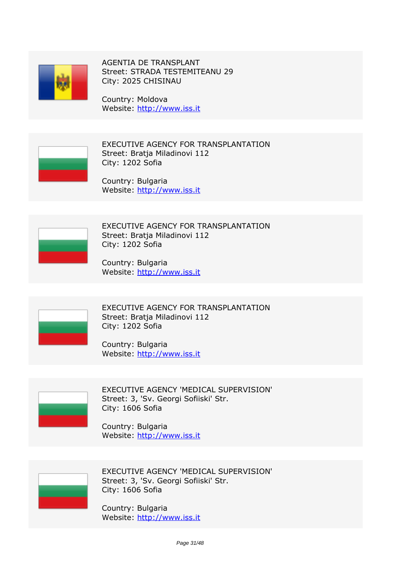

*AGENTIA DE TRANSPLANT Street: STRADA TESTEMITEANU 29 City: 2025 CHISINAU*

*Country: Moldova Website:* http://www.iss.it



*EXECUTIVE AGENCY FOR TRANSPLANTATION Street: Bratja Miladinovi 112 City: 1202 Sofia*

*Country: Bulgaria Website:* http://www.iss.it



*EXECUTIVE AGENCY FOR TRANSPLANTATION Street: Bratja Miladinovi 112 City: 1202 Sofia*

*Country: Bulgaria Website:* http://www.iss.it



*EXECUTIVE AGENCY FOR TRANSPLANTATION Street: Bratja Miladinovi 112 City: 1202 Sofia*

*Country: Bulgaria Website:* http://www.iss.it



*EXECUTIVE AGENCY 'MEDICAL SUPERVISION' Street: 3, 'Sv. Georgi Sofiiski' Str. City: 1606 Sofia*

*Country: Bulgaria Website:* http://www.iss.it



*EXECUTIVE AGENCY 'MEDICAL SUPERVISION' Street: 3, 'Sv. Georgi Sofiiski' Str. City: 1606 Sofia*

*Country: Bulgaria Website:* http://www.iss.it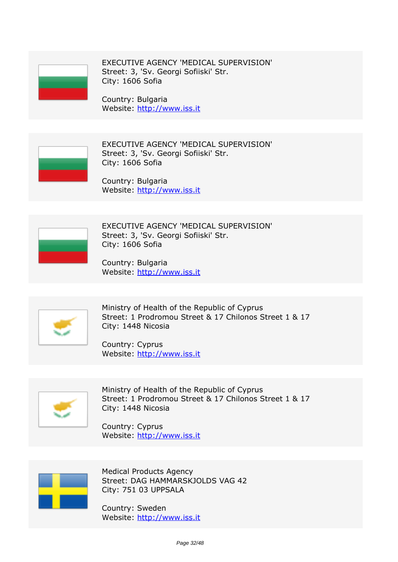

*EXECUTIVE AGENCY 'MEDICAL SUPERVISION' Street: 3, 'Sv. Georgi Sofiiski' Str. City: 1606 Sofia*

*Country: Bulgaria Website:* http://www.iss.it



*EXECUTIVE AGENCY 'MEDICAL SUPERVISION' Street: 3, 'Sv. Georgi Sofiiski' Str. City: 1606 Sofia*

*Country: Bulgaria Website:* http://www.iss.it



*EXECUTIVE AGENCY 'MEDICAL SUPERVISION' Street: 3, 'Sv. Georgi Sofiiski' Str. City: 1606 Sofia*

*Country: Bulgaria Website:* http://www.iss.it



*Ministry of Health of the Republic of Cyprus Street: 1 Prodromou Street & 17 Chilonos Street 1 & 17 City: 1448 Nicosia*

*Country: Cyprus Website:* http://www.iss.it



*Ministry of Health of the Republic of Cyprus Street: 1 Prodromou Street & 17 Chilonos Street 1 & 17 City: 1448 Nicosia*

*Country: Cyprus Website:* http://www.iss.it



*Medical Products Agency Street: DAG HAMMARSKJOLDS VAG 42 City: 751 03 UPPSALA*

*Country: Sweden Website:* http://www.iss.it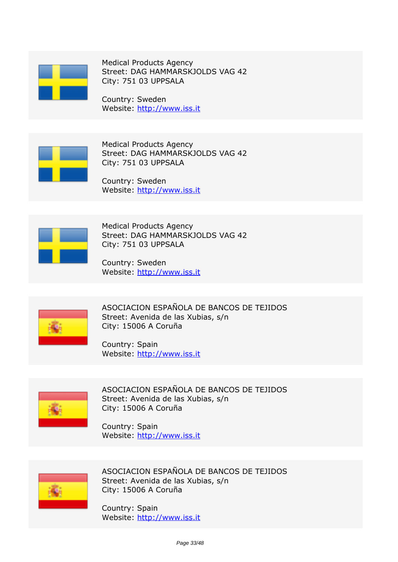

*Medical Products Agency Street: DAG HAMMARSKJOLDS VAG 42 City: 751 03 UPPSALA*

*Country: Sweden Website:* http://www.iss.it



*Medical Products Agency Street: DAG HAMMARSKJOLDS VAG 42 City: 751 03 UPPSALA*

*Country: Sweden Website:* http://www.iss.it



*Medical Products Agency Street: DAG HAMMARSKJOLDS VAG 42 City: 751 03 UPPSALA*

*Country: Sweden Website:* http://www.iss.it



*ASOCIACION ESPAÑOLA DE BANCOS DE TEJIDOS Street: Avenida de las Xubias, s/n City: 15006 A Coruña*

*Country: Spain Website:* http://www.iss.it



*ASOCIACION ESPAÑOLA DE BANCOS DE TEJIDOS Street: Avenida de las Xubias, s/n City: 15006 A Coruña*

*Country: Spain Website:* http://www.iss.it



*ASOCIACION ESPAÑOLA DE BANCOS DE TEJIDOS Street: Avenida de las Xubias, s/n City: 15006 A Coruña*

*Country: Spain Website:* http://www.iss.it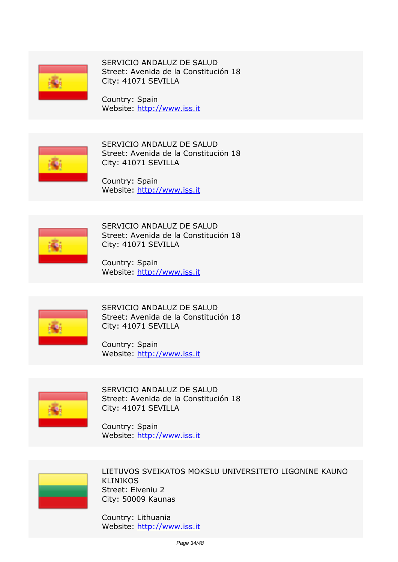

*SERVICIO ANDALUZ DE SALUD Street: Avenida de la Constitución 18 City: 41071 SEVILLA*

*Country: Spain Website:* http://www.iss.it



*SERVICIO ANDALUZ DE SALUD Street: Avenida de la Constitución 18 City: 41071 SEVILLA*

*Country: Spain Website:* http://www.iss.it



*SERVICIO ANDALUZ DE SALUD Street: Avenida de la Constitución 18 City: 41071 SEVILLA*

*Country: Spain Website:* http://www.iss.it



*SERVICIO ANDALUZ DE SALUD Street: Avenida de la Constitución 18 City: 41071 SEVILLA*

*Country: Spain Website:* http://www.iss.it



*SERVICIO ANDALUZ DE SALUD Street: Avenida de la Constitución 18 City: 41071 SEVILLA*

*Country: Spain Website:* http://www.iss.it



*LIETUVOS SVEIKATOS MOKSLU UNIVERSITETO LIGONINE KAUNO KLINIKOS Street: Eiveniu 2 City: 50009 Kaunas*

*Country: Lithuania Website:* http://www.iss.it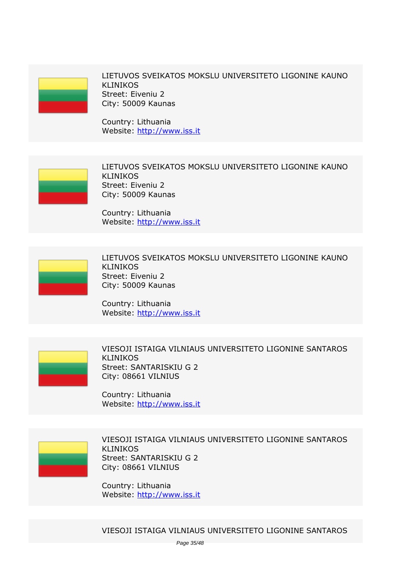

*LIETUVOS SVEIKATOS MOKSLU UNIVERSITETO LIGONINE KAUNO KLINIKOS Street: Eiveniu 2 City: 50009 Kaunas*

*Country: Lithuania Website:* http://www.iss.it



*LIETUVOS SVEIKATOS MOKSLU UNIVERSITETO LIGONINE KAUNO KLINIKOS Street: Eiveniu 2 City: 50009 Kaunas*

*Country: Lithuania Website:* http://www.iss.it



*LIETUVOS SVEIKATOS MOKSLU UNIVERSITETO LIGONINE KAUNO KLINIKOS Street: Eiveniu 2 City: 50009 Kaunas*

*Country: Lithuania Website:* http://www.iss.it



*VIESOJI ISTAIGA VILNIAUS UNIVERSITETO LIGONINE SANTAROS KLINIKOS Street: SANTARISKIU G 2 City: 08661 VILNIUS*

*Country: Lithuania Website:* http://www.iss.it

*VIESOJI ISTAIGA VILNIAUS UNIVERSITETO LIGONINE SANTAROS KLINIKOS Street: SANTARISKIU G 2 City: 08661 VILNIUS*

*Country: Lithuania Website:* http://www.iss.it

*VIESOJI ISTAIGA VILNIAUS UNIVERSITETO LIGONINE SANTAROS*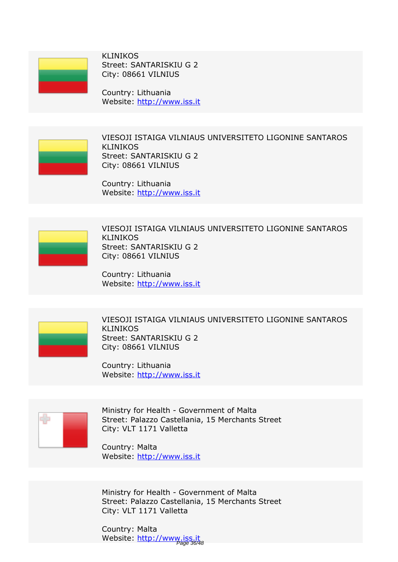

*KLINIKOS Street: SANTARISKIU G 2 City: 08661 VILNIUS*

*Country: Lithuania Website:* http://www.iss.it

*VIESOJI ISTAIGA VILNIAUS UNIVERSITETO LIGONINE SANTAROS KLINIKOS Street: SANTARISKIU G 2 City: 08661 VILNIUS*

*Country: Lithuania Website:* http://www.iss.it

*VIESOJI ISTAIGA VILNIAUS UNIVERSITETO LIGONINE SANTAROS KLINIKOS Street: SANTARISKIU G 2 City: 08661 VILNIUS*

*Country: Lithuania Website:* http://www.iss.it



*VIESOJI ISTAIGA VILNIAUS UNIVERSITETO LIGONINE SANTAROS KLINIKOS Street: SANTARISKIU G 2 City: 08661 VILNIUS*

*Country: Lithuania Website:* http://www.iss.it



*Ministry for Health - Government of Malta Street: Palazzo Castellania, 15 Merchants Street City: VLT 1171 Valletta*

*Country: Malta Website:* http://www.iss.it

*Ministry for Health - Government of Malta Street: Palazzo Castellania, 15 Merchants Street City: VLT 1171 Valletta*

*Country: Malta Website:* http://www.iss.it Page 36/48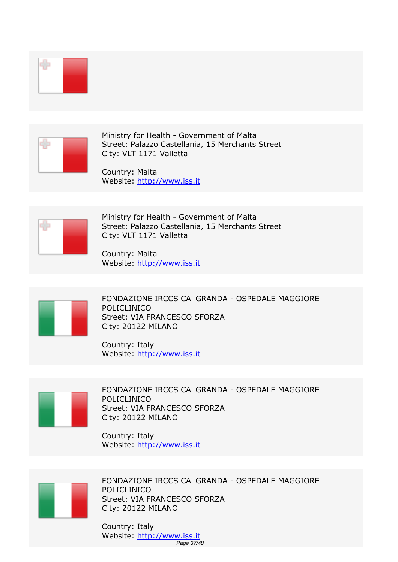

*Ministry for Health - Government of Malta Street: Palazzo Castellania, 15 Merchants Street City: VLT 1171 Valletta*

*Country: Malta Website:* http://www.iss.it



*Ministry for Health - Government of Malta Street: Palazzo Castellania, 15 Merchants Street City: VLT 1171 Valletta*

*Country: Malta Website:* http://www.iss.it



*FONDAZIONE IRCCS CA' GRANDA - OSPEDALE MAGGIORE POLICLINICO Street: VIA FRANCESCO SFORZA City: 20122 MILANO*

*Country: Italy Website:* http://www.iss.it



*FONDAZIONE IRCCS CA' GRANDA - OSPEDALE MAGGIORE POLICLINICO Street: VIA FRANCESCO SFORZA City: 20122 MILANO*

*Country: Italy Website:* http://www.iss.it



*FONDAZIONE IRCCS CA' GRANDA - OSPEDALE MAGGIORE POLICLINICO Street: VIA FRANCESCO SFORZA City: 20122 MILANO*

*Country: Italy Website:* http://www.iss.it Page 37/48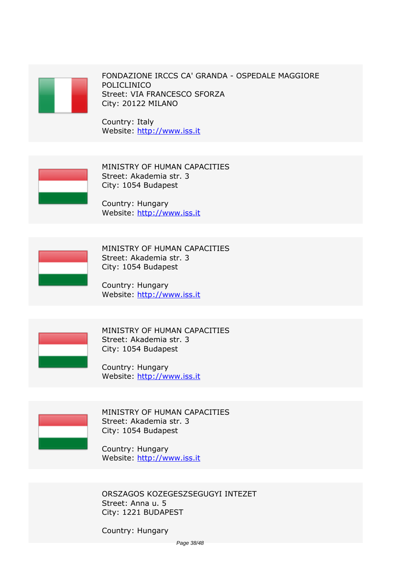

*FONDAZIONE IRCCS CA' GRANDA - OSPEDALE MAGGIORE POLICLINICO Street: VIA FRANCESCO SFORZA City: 20122 MILANO*

*Country: Italy Website:* http://www.iss.it



*MINISTRY OF HUMAN CAPACITIES Street: Akademia str. 3 City: 1054 Budapest*

*Country: Hungary Website:* http://www.iss.it



*MINISTRY OF HUMAN CAPACITIES Street: Akademia str. 3 City: 1054 Budapest*

*Country: Hungary Website:* http://www.iss.it



*MINISTRY OF HUMAN CAPACITIES Street: Akademia str. 3 City: 1054 Budapest*

*Country: Hungary Website:* http://www.iss.it



*MINISTRY OF HUMAN CAPACITIES Street: Akademia str. 3 City: 1054 Budapest*

*Country: Hungary Website:* http://www.iss.it

*ORSZAGOS KOZEGESZSEGUGYI INTEZET Street: Anna u. 5 City: 1221 BUDAPEST*

*Country: Hungary*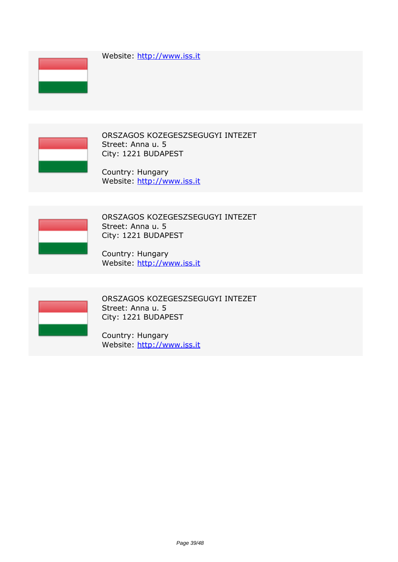*Website:* http://www.iss.it





*ORSZAGOS KOZEGESZSEGUGYI INTEZET Street: Anna u. 5 City: 1221 BUDAPEST*

*Country: Hungary Website:* http://www.iss.it



*ORSZAGOS KOZEGESZSEGUGYI INTEZET Street: Anna u. 5 City: 1221 BUDAPEST*

*Country: Hungary Website:* http://www.iss.it



*ORSZAGOS KOZEGESZSEGUGYI INTEZET Street: Anna u. 5 City: 1221 BUDAPEST*

*Country: Hungary Website:* http://www.iss.it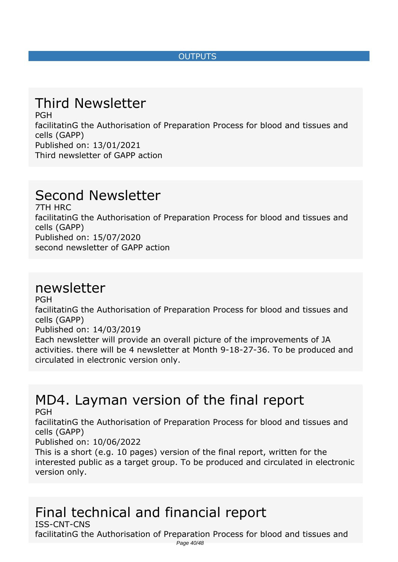#### *OUTPUTS*

## <span id="page-39-0"></span>*Third Newsletter*

*PGH facilitatinG the Authorisation of Preparation Process for blood and tissues and cells (GAPP) Published on: 13/01/2021 Third newsletter of GAPP action*

## *Second Newsletter*

*7TH HRC facilitatinG the Authorisation of Preparation Process for blood and tissues and cells (GAPP) Published on: 15/07/2020 second newsletter of GAPP action*

### *newsletter*

*PGH*

*facilitatinG the Authorisation of Preparation Process for blood and tissues and cells (GAPP)*

*Published on: 14/03/2019*

*Each newsletter will provide an overall picture of the improvements of JA activities. there will be 4 newsletter at Month 9-18-27-36. To be produced and circulated in electronic version only.*

# *MD4. Layman version of the final report*

*PGH*

*facilitatinG the Authorisation of Preparation Process for blood and tissues and cells (GAPP)*

*Published on: 10/06/2022*

*This is a short (e.g. 10 pages) version of the final report, written for the interested public as a target group. To be produced and circulated in electronic version only.*

#### *Final technical and financial report ISS-CNT-CNS*

*facilitatinG the Authorisation of Preparation Process for blood and tissues and*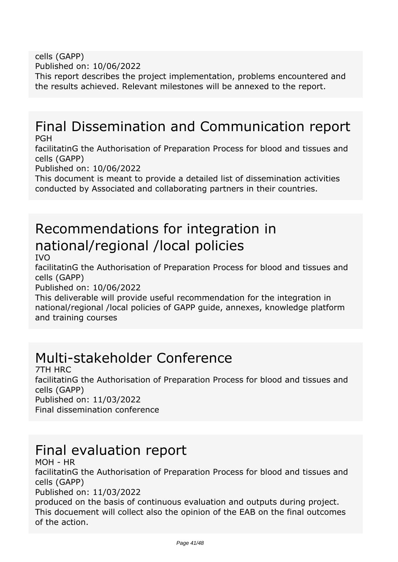*cells (GAPP) Published on: 10/06/2022*

*This report describes the project implementation, problems encountered and the results achieved. Relevant milestones will be annexed to the report.*

#### *Final Dissemination and Communication report PGH*

*facilitatinG the Authorisation of Preparation Process for blood and tissues and cells (GAPP)*

*Published on: 10/06/2022*

*This document is meant to provide a detailed list of dissemination activities conducted by Associated and collaborating partners in their countries.*

# *Recommendations for integration in national/regional /local policies*

*IVO*

*facilitatinG the Authorisation of Preparation Process for blood and tissues and cells (GAPP)*

*Published on: 10/06/2022*

*This deliverable will provide useful recommendation for the integration in national/regional /local policies of GAPP guide, annexes, knowledge platform and training courses*

## *Multi-stakeholder Conference*

*7TH HRC facilitatinG the Authorisation of Preparation Process for blood and tissues and cells (GAPP) Published on: 11/03/2022 Final dissemination conference*

## *Final evaluation report*

*MOH - HR*

*facilitatinG the Authorisation of Preparation Process for blood and tissues and cells (GAPP)*

*Published on: 11/03/2022*

*produced on the basis of continuous evaluation and outputs during project. This docuement will collect also the opinion of the EAB on the final outcomes of the action.*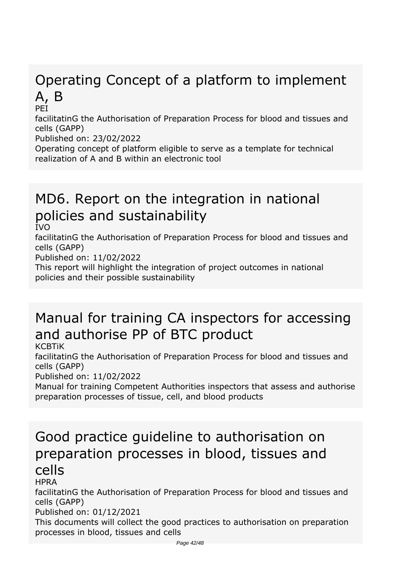# *Operating Concept of a platform to implement A, B*

*PEI*

*facilitatinG the Authorisation of Preparation Process for blood and tissues and cells (GAPP)*

*Published on: 23/02/2022*

*Operating concept of platform eligible to serve as a template for technical realization of A and B within an electronic tool*

## *MD6. Report on the integration in national policies and sustainability*

*IVO*

*facilitatinG the Authorisation of Preparation Process for blood and tissues and cells (GAPP)*

*Published on: 11/02/2022*

*This report will highlight the integration of project outcomes in national policies and their possible sustainability*

# *Manual for training CA inspectors for accessing and authorise PP of BTC product*

*KCBTiK*

*facilitatinG the Authorisation of Preparation Process for blood and tissues and cells (GAPP)*

*Published on: 11/02/2022*

*Manual for training Competent Authorities inspectors that assess and authorise preparation processes of tissue, cell, and blood products*

### *Good practice guideline to authorisation on preparation processes in blood, tissues and cells HPRA*

*facilitatinG the Authorisation of Preparation Process for blood and tissues and cells (GAPP)*

*Published on: 01/12/2021*

*This documents will collect the good practices to authorisation on preparation processes in blood, tissues and cells*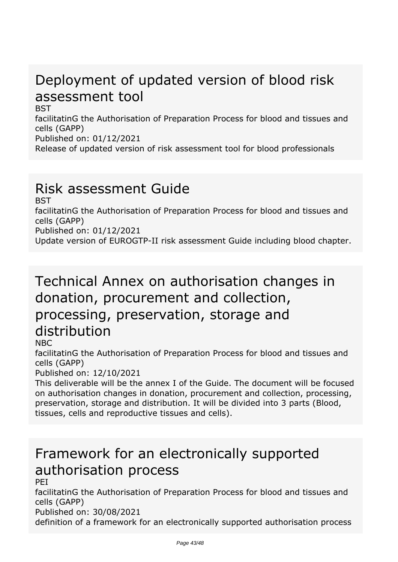## *Deployment of updated version of blood risk assessment tool*

*BST*

*facilitatinG the Authorisation of Preparation Process for blood and tissues and cells (GAPP)*

*Published on: 01/12/2021*

*Release of updated version of risk assessment tool for blood professionals*

## *Risk assessment Guide*

*BST*

*facilitatinG the Authorisation of Preparation Process for blood and tissues and cells (GAPP)*

*Published on: 01/12/2021*

*Update version of EUROGTP-II risk assessment Guide including blood chapter.*

## *Technical Annex on authorisation changes in donation, procurement and collection, processing, preservation, storage and distribution*

*NBC*

*facilitatinG the Authorisation of Preparation Process for blood and tissues and cells (GAPP)*

*Published on: 12/10/2021*

*This deliverable will be the annex I of the Guide. The document will be focused on authorisation changes in donation, procurement and collection, processing, preservation, storage and distribution. It will be divided into 3 parts (Blood, tissues, cells and reproductive tissues and cells).*

# *Framework for an electronically supported authorisation process*

*PEI*

*facilitatinG the Authorisation of Preparation Process for blood and tissues and cells (GAPP)*

*Published on: 30/08/2021*

*definition of a framework for an electronically supported authorisation process*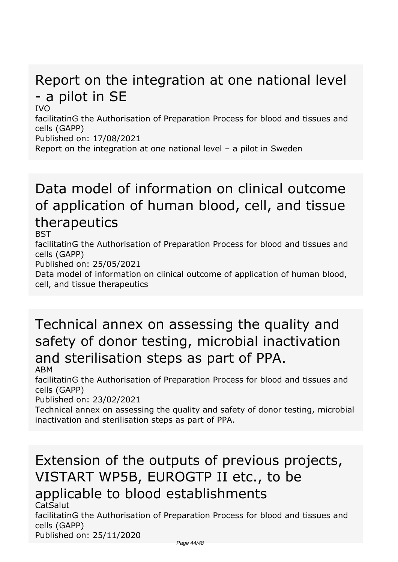# *Report on the integration at one national level - a pilot in SE*

*IVO*

*facilitatinG the Authorisation of Preparation Process for blood and tissues and cells (GAPP)*

*Published on: 17/08/2021*

*Report on the integration at one national level – a pilot in Sweden*

## *Data model of information on clinical outcome of application of human blood, cell, and tissue therapeutics*

*BST*

*facilitatinG the Authorisation of Preparation Process for blood and tissues and cells (GAPP)*

*Published on: 25/05/2021*

*Data model of information on clinical outcome of application of human blood, cell, and tissue therapeutics*

# *Technical annex on assessing the quality and safety of donor testing, microbial inactivation and sterilisation steps as part of PPA.*

*ABM*

*facilitatinG the Authorisation of Preparation Process for blood and tissues and cells (GAPP)*

*Published on: 23/02/2021*

*Technical annex on assessing the quality and safety of donor testing, microbial inactivation and sterilisation steps as part of PPA.*

# *Extension of the outputs of previous projects, VISTART WP5B, EUROGTP II etc., to be applicable to blood establishments*

*CatSalut*

*facilitatinG the Authorisation of Preparation Process for blood and tissues and cells (GAPP)*

*Published on: 25/11/2020*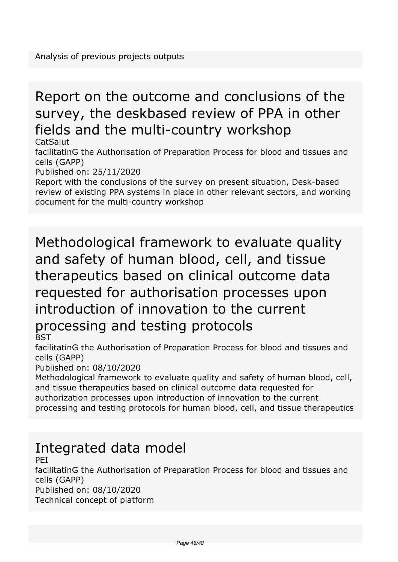# *Report on the outcome and conclusions of the survey, the deskbased review of PPA in other fields and the multi-country workshop*

*CatSalut*

*facilitatinG the Authorisation of Preparation Process for blood and tissues and cells (GAPP)*

*Published on: 25/11/2020*

*Report with the conclusions of the survey on present situation, Desk-based review of existing PPA systems in place in other relevant sectors, and working document for the multi-country workshop*

### *Methodological framework to evaluate quality and safety of human blood, cell, and tissue therapeutics based on clinical outcome data requested for authorisation processes upon introduction of innovation to the current processing and testing protocols BST*

*facilitatinG the Authorisation of Preparation Process for blood and tissues and cells (GAPP)*

*Published on: 08/10/2020*

*Methodological framework to evaluate quality and safety of human blood, cell, and tissue therapeutics based on clinical outcome data requested for authorization processes upon introduction of innovation to the current processing and testing protocols for human blood, cell, and tissue therapeutics*

## *Integrated data model*

*PEI*

*facilitatinG the Authorisation of Preparation Process for blood and tissues and cells (GAPP)*

*Published on: 08/10/2020*

*Technical concept of platform*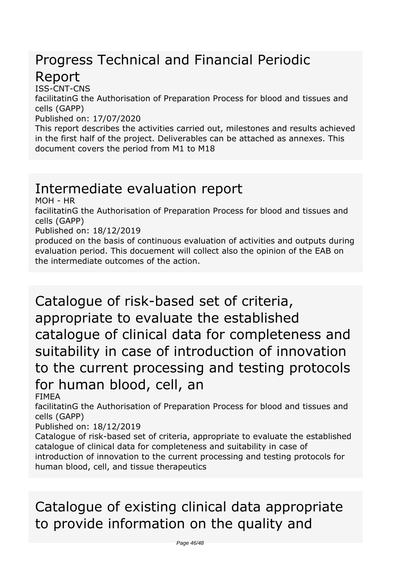## *Progress Technical and Financial Periodic Report*

*ISS-CNT-CNS*

*facilitatinG the Authorisation of Preparation Process for blood and tissues and cells (GAPP)*

*Published on: 17/07/2020*

*This report describes the activities carried out, milestones and results achieved in the first half of the project. Deliverables can be attached as annexes. This document covers the period from M1 to M18*

## *Intermediate evaluation report*

*MOH - HR*

*facilitatinG the Authorisation of Preparation Process for blood and tissues and cells (GAPP)*

*Published on: 18/12/2019*

*produced on the basis of continuous evaluation of activities and outputs during evaluation period. This docuement will collect also the opinion of the EAB on the intermediate outcomes of the action.*

*Catalogue of risk-based set of criteria, appropriate to evaluate the established catalogue of clinical data for completeness and suitability in case of introduction of innovation to the current processing and testing protocols for human blood, cell, an*

*FIMEA*

*facilitatinG the Authorisation of Preparation Process for blood and tissues and cells (GAPP)*

*Published on: 18/12/2019*

*Catalogue of risk-based set of criteria, appropriate to evaluate the established catalogue of clinical data for completeness and suitability in case of introduction of innovation to the current processing and testing protocols for human blood, cell, and tissue therapeutics*

# *Catalogue of existing clinical data appropriate to provide information on the quality and*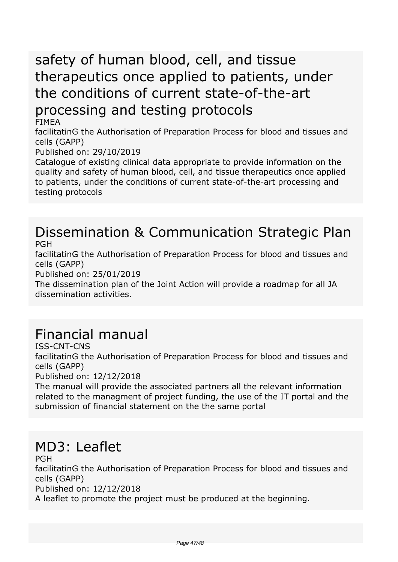# *safety of human blood, cell, and tissue therapeutics once applied to patients, under the conditions of current state-of-the-art processing and testing protocols*

*FIMEA*

*facilitatinG the Authorisation of Preparation Process for blood and tissues and cells (GAPP)*

*Published on: 29/10/2019*

*Catalogue of existing clinical data appropriate to provide information on the quality and safety of human blood, cell, and tissue therapeutics once applied to patients, under the conditions of current state-of-the-art processing and testing protocols*

#### *Dissemination & Communication Strategic Plan PGH*

*facilitatinG the Authorisation of Preparation Process for blood and tissues and cells (GAPP)*

*Published on: 25/01/2019*

*The dissemination plan of the Joint Action will provide a roadmap for all JA dissemination activities.*

## *Financial manual*

*ISS-CNT-CNS*

*facilitatinG the Authorisation of Preparation Process for blood and tissues and cells (GAPP)*

*Published on: 12/12/2018*

*The manual will provide the associated partners all the relevant information related to the managment of project funding, the use of the IT portal and the submission of financial statement on the the same portal*

## *MD3: Leaflet*

*PGH*

*facilitatinG the Authorisation of Preparation Process for blood and tissues and cells (GAPP)*

*Published on: 12/12/2018*

*A leaflet to promote the project must be produced at the beginning.*